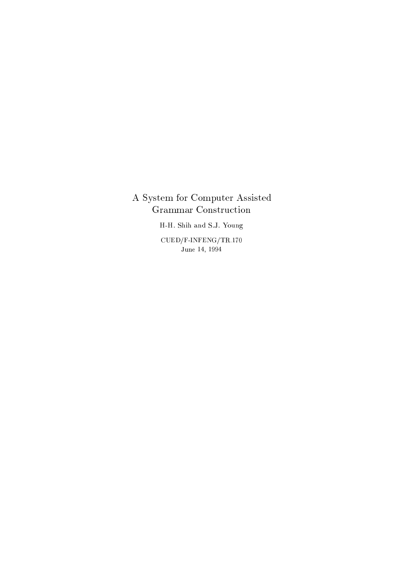# d effects and the effects of the effects of the effects of the effects of the effects of the effects of the effects of the effects of the effects of the effects of the effects of the effects of the effects of the effects o  $\Box$ P  $\Box$

H-H. Shih and S.J. Young

- 
 ! !" \$#&%')(\*(+#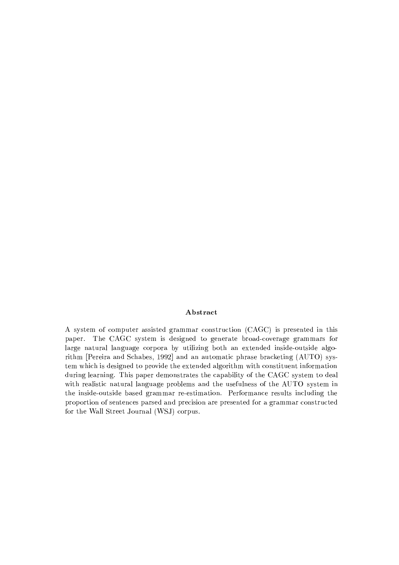#### Abstract

 $\blacksquare$  . A set of  $\blacksquare$  . The set of  $\blacksquare$ 6 /"!2 <sup>3</sup> <sup>9</sup> 3C&8 9 @ <sup>C</sup> <sup>8</sup> <sup>6</sup>\$#@&69&-%+@'& 6C <sup>C</sup> <sup>6</sup>6 @ large natural language corpora by utilizing both an extended inside-outside algo- $\overline{3}$  . The state of the state of the state of the state of the state of the state of the state of the state of the state of the state of the state of the state of the state of the state of the state of the state of th BA243+2 <sup>3</sup> <sup>9</sup> 3C&8 9 @ @'&439 > <sup>2</sup> , <sup>849</sup> 9 <sup>6</sup>(C!@ <sup>3</sup> <sup>2</sup>CA3 2D+@&8 <sup>3</sup> <sup>B</sup> <sup>8</sup> 358E @ 6 3@&8 9. B 384 C (+ 6 844) - 6 844 C (+ 6 844) - 6 844 C (+ 6 844) - 6 844 C (+ 6 9 844) - 6 844 C (+ 6 9 844) - 6 84 A3 <sup>2</sup> <sup>6</sup>( <sup>3</sup> 3H 86 <sup>B</sup> <sup>6</sup>(I( 6!84C&B6C@ #(+ D 6!849 <sup>2</sup> <sup>B</sup> <sup>B</sup>( <sup>8</sup> J @' <sup>2</sup> >= !? <sup>358</sup> <sup>2</sup> <sup>38</sup> <sup>39</sup> - @&B 39 K#69XC <sup>6</sup>6- <sup>3</sup>6 3@&8;/ 0L @ 6!8 K <sup>B</sup> (H38 ( B493584C <sup>2</sup>  $\alpha$  for  $\alpha$  and  $\alpha$  are defined by  $\alpha$  . The set of  $\alpha$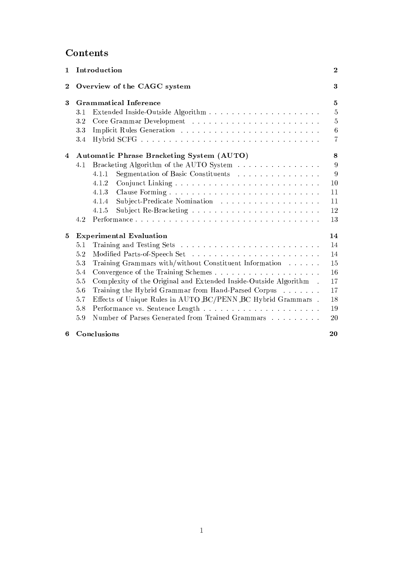# Contents

| 1        | Introduction                                                             |                  |  |  |  |  |
|----------|--------------------------------------------------------------------------|------------------|--|--|--|--|
| $\bf{2}$ | Overview of the CAGC system                                              | 3                |  |  |  |  |
| 3        | <b>Grammatical Inference</b>                                             |                  |  |  |  |  |
|          | 3.1                                                                      | $\overline{5}$   |  |  |  |  |
|          | 3.2                                                                      | 5                |  |  |  |  |
|          | 3.3                                                                      | $\boldsymbol{6}$ |  |  |  |  |
|          | 3.4                                                                      | 7                |  |  |  |  |
| 4        | Automatic Phrase Bracketing System (AUTO)                                | 8                |  |  |  |  |
|          | Bracketing Algorithm of the AUTO System<br>4.1                           | 9                |  |  |  |  |
|          | Segmentation of Basic Constituents<br>4.1.1                              | 9                |  |  |  |  |
|          | 4.1.2                                                                    | 10               |  |  |  |  |
|          | 4.1.3                                                                    | 11               |  |  |  |  |
|          | 4.1.4                                                                    | 11               |  |  |  |  |
|          | 4.1.5                                                                    | 12               |  |  |  |  |
|          | 4.2<br>Performance                                                       | 13               |  |  |  |  |
| 5        | <b>Experimental Evaluation</b>                                           | 14               |  |  |  |  |
|          | 5.1                                                                      | 14               |  |  |  |  |
|          | 5.2                                                                      | 14               |  |  |  |  |
|          | Training Grammars with/without Constituent Information<br>5.3            | 15               |  |  |  |  |
|          | 5.4                                                                      | 16               |  |  |  |  |
|          | 5.5<br>Complexity of the Original and Extended Inside-Outside Algorithm. | 17               |  |  |  |  |
|          | Training the Hybrid Grammar from Hand-Parsed Corpus<br>5.6               | 17               |  |  |  |  |
|          | Effects of Unique Rules in AUTO BC/PENN BC Hybrid Grammars.<br>5.7       | 18               |  |  |  |  |
|          | 5.8                                                                      | 19               |  |  |  |  |
|          | Number of Parses Generated from Trained Grammars<br>5.9                  | 20               |  |  |  |  |
| 6        | Conclusions                                                              | 20               |  |  |  |  |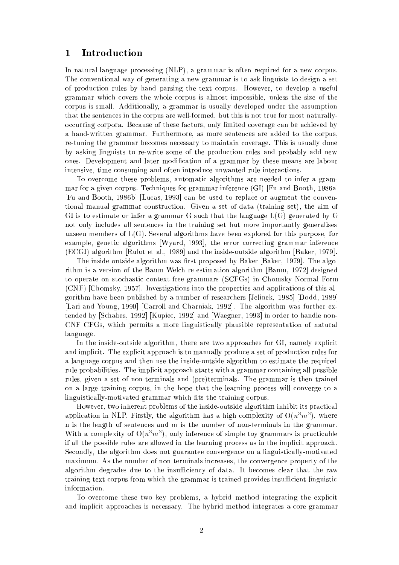## particle in the contract of the contract of the contract of the contract of the contract of the contract of the

-<sup>8</sup> 86 <sup>B</sup> <sup>6</sup>( ( 6!84C&B6C @ 384C 50 <sup>3</sup> <sup>6</sup> <sup>C</sup> <sup>6</sup>6 <sup>3</sup> @' <sup>8</sup> !B43 9 @ <sup>6</sup> <sup>8</sup> A +@ <sup>B</sup> / !2 +@&8)& <sup>8</sup> 3@&86( A6 @' <sup>C</sup> <sup>8</sup> <sup>6</sup> 3584C <sup>6</sup> <sup>8</sup> A <sup>C</sup> <sup>6</sup>6 <sup>3</sup> @ <sup>6</sup> : ( 3584C&B43 @ <sup>9</sup> 3C48 <sup>6</sup>  $\alpha$  is the distribution of  $\alpha$  and  $\alpha$  . The set of  $\alpha$  is the set of  $\alpha$  is the set of  $\alpha$  $\mathcal{L} = \mathcal{L} = \mathcal{L} = \mathcal{L} = \mathcal{L} = \mathcal{L} = \mathcal{L} = \mathcal{L} = \mathcal{L} = \mathcal{L} = \mathcal{L} = \mathcal{L} = \mathcal{L} = \mathcal{L} = \mathcal{L} = \mathcal{L} = \mathcal{L} = \mathcal{L} = \mathcal{L} = \mathcal{L} = \mathcal{L} = \mathcal{L} = \mathcal{L} = \mathcal{L} = \mathcal{L} = \mathcal{L} = \mathcal{L} = \mathcal{L} = \mathcal{L} = \mathcal{L} = \mathcal{L} = \mathcal$ corpus is small. Additionally, a grammar is usually developed under the assumption 262 <sup>2</sup> <sup>8</sup> 8 <sup>358</sup> <sup>2</sup> +@ <sup>B</sup> <sup>6</sup> A(+(-@ O9 3 # <sup>B</sup> L <sup>243</sup> <sup>3</sup> 84@L <sup>B</sup> @ 2@ 86 <sup>B</sup> <sup>6</sup>(+(+-  $\blacksquare$  . A define the definition of the contract of the contract of the contract of the contract of the contract of the contract of the contract of the contract of the contract of the contract of the contract of the contr a hand-written grammar. Furthermore, as more sentences are added to the corpus, re-tuning the grammar becomes necessary to maintain coverage. This is usually done  $\blacksquare$  . The set of the set of the set of the set of the set of the set of the set of the set of the set of the set of the set of the set of the set of the set of the set of the set of the set of the set of the set of the @&8 / @&(@ D <sup>8</sup> 6!849 ( <sup>6</sup> @493\*6 3@&8 @ 67C <sup>6</sup>6 #) <sup>2</sup> D 6!8 <sup>6</sup>( <sup>6</sup># @&B <sup>38</sup> <sup>8</sup> 3H&)3 <sup>3</sup>O +@&8 <sup>B</sup>3584C 6!849 @' <sup>8</sup> <sup>358</sup>@49'B B8A6!89 <sup>B</sup> (+ <sup>3</sup> <sup>8</sup> <sup>6</sup> 3@&8 /

 $\blacksquare$  . The distribution of the distribution of the distribution of the distribution of the distribution of the distribution of the distribution of the distribution of the distribution of the distribution of the distribu  $\alpha$  is the contract of the contract of the contract of the contract of the contract of the contract of the contract of the contract of the contract of the contract of the contract of the contract of the contract of the c .;B 6!849 @4@ <sup>2</sup> 354 6 ( #79
. B\*6 3 4 6)6 <sup>9</sup> \*6!8 # <sup>B</sup> 9 @ (6[ @ 6!B4CO <sup>8</sup> <sup>2</sup> +@&8)& 8!- 3@486( 6!8&B6( <sup>C</sup> <sup>6</sup>6 +@&8 B 3@&8;/ 3H& 8W6 @' 9'6 6< 635843584C <sup>3</sup> <sup>2</sup> <sup>63</sup> @' -3 @ <sup>3</sup>6 @ 358) <sup>6</sup> <sup>C</sup> 66 B2 26 <sup>2</sup> ( 6!84C4B 6C C <sup>8</sup> <sup>6</sup>9 #[K not only includes all sentences in the training set but more importantly generalises <sup>B</sup> <sup>8</sup> <sup>8</sup> D D# J @' +/M1 & <sup>6</sup>( <sup>6</sup>(C!@ <sup>3</sup> <sup>2</sup>O 26 & # <sup>8</sup> ,(@ 9 @ F <sup>243</sup> <sup>B</sup> @)3 @  $\blacksquare$  . The set of the set of the set of the set of the set of the set of the set of the set of the set of the set of the set of the set of the set of the set of the set of the set of the set of the set of the set of the - <sup>6</sup>(CJ@ <sup>3</sup> <sup>2</sup> .B (@ <sup>6</sup>( / <sup>3</sup> 4 6)()69 6!849 <sup>2</sup> <sup>38</sup> <sup>39</sup> - @4B 39 <sup>6</sup>(C!@ <sup>3</sup> <sup>2</sup> .6): 35476))69 /

The inside-outside algorithm was first proposed by Baker [Baker, 1979]. The algo- <sup>3</sup> <sup>2</sup> <sup>3</sup> 6O& 3@&8 @' <sup>2</sup> 6!B-P( <sup>2</sup> - <sup>3</sup>6 3@&8:6(C!@ <sup>3</sup> <sup>2</sup> .6!B <sup>3</sup> 4 6))89 <sup>9</sup> 3C&8 9  $\alpha$  . The contract of the contract of the contract of the contract of the contract of the contract of the contract of the contract of the contract of the contract of the contract of the contract of the contract of the co  .24@O :E3 4 6))9 / -8)& 3C&6 3@&8 <sup>358</sup> @ <sup>2</sup> N@ <sup>3</sup> 6!849 <sup>6</sup>( 3+\*6 3@&8 @' <sup>243</sup> <sup>6</sup>(- . I distribution and the fact of the fact of the second contract of the second of the second of the second of the second of the second of the second of the second of the second of the second of the second of the second of . <sup>6</sup> <sup>3</sup> 6J849 >A@4B8&C 354 6E6)9@.6@(+( 6!849 26 84356): 354 6)6E89 /!2 <sup>6</sup>(C!@ <sup>3</sup> <sup>2</sup> A6 <sup>B</sup> <sup>2</sup> @, and the fourth and fourth and the second of the second terms of the second terms of the second terms of the second terms of the second terms of the second terms of the second terms of the second terms of the second terms o  $\alpha$  and  $\alpha$  is a contract of the contract of the contract of the contract of the contract of the contract of the contract of the contract of the contract of the contract of the contract of the contract of the contract o language.

-<sup>8</sup> <sup>2</sup> <sup>358</sup> 39 - @&B <sup>39</sup> <sup>6</sup>(C!@ <sup>3</sup> <sup>2</sup>T3 <sup>2</sup> <sup>6</sup>DA@:6@&6[2 ; @ @- <sup>3</sup> 86D(+K,( 3H+3 6!849 <sup>3</sup>( 3++3 /Q!2 ,( 3++3 <sup>6</sup>@&62 <sup>3</sup> 2 @ 6!8&B6(+(+ @49'B <sup>6</sup> @' @49'B 3@&8 <sup>B</sup> (+ @ a language corpus and then use the inside-outside algorithm to estimate the required  $\blacksquare$  . The finite of the state  $\blacksquare$  . The state of the state of the state of the state of the state of the state of the state of the state of the state of the state of the state of the state of the state of the state <sup>B</sup> (H73 C!3+& 8a6 @' 8&@48!- 3586(+ 6!849 386(+ /O! <sup>2</sup> <sup>C</sup> <sup>6</sup>6 <sup>3</sup> N <sup>2</sup> <sup>8</sup> <sup>6358</sup> 9 on a large training corpus, in the hope that the learning process will converge to a ( 3584C&B43 3+\*6(+(+-@ 3+&69 <sup>C</sup> <sup>6</sup>6FA243H2 <sup>2</sup> @ 63843584C+@ <sup>B</sup> /

enuligation in MLD. Einstly, the algorithm has a high complexity of  $O(n^3m^3)$ , where  $W_{1}^{1}$  become particle of  $O(n^{3}m^{3})$  and informace of given a term superconstruction ble , and 3582  $\,$  302  $\,$  302  $\,$  302  $\,$  302  $\,$  302  $\,$  302  $\,$  302  $\,$  302  $\,$  302  $\,$  302  $\,$  302  $\,$  302  $\,$  302  $\,$  302  $\,$  302  $\,$  302  $\,$  302  $\,$  302  $\,$  302  $\,$  302  $\,$  302  $\,$  302  $\,$  302  $\,$ <sup>8</sup> <sup>3</sup> <sup>2</sup> (+ 84C 2S@' <sup>8</sup> 8 6!849 <sup>3</sup> <sup>2</sup> 8&B# @' 84@&8!- 3586(+ <sup>3</sup> <sup>8</sup> <sup>2</sup> <sup>C</sup> <sup>6</sup>6 / 3 <sup>6</sup>(+(Z <sup>2</sup> @ @ <sup>3</sup> #(+@ <sup>B</sup> (+ <sup>6</sup> <sup>6</sup>(+(@AQ9 <sup>3</sup> <sup>8</sup> <sup>2</sup> ( <sup>6</sup> <sup>843</sup> 84C @ <sup>6</sup> <sup>358</sup> <sup>2</sup> <sup>3</sup>( <sup>3</sup> +3 <sup>6</sup>@&62;/ Secondly, the algorithm does not guarantee convergence on a linguistically-motivated  $\bullet$  . The set of the set of the set of the set of the set of the set of the set of the set of the set of the set of the set of the set of the set of the set of the set of the set of the set of the set of the set of the s  $\mathbf{A}$  and  $\mathbf{B}$  are the set of the set of the set of the set of the set of the set of the set of the set of the set of the set of the set of the set of the set of the set of the set of the set of the set of the set 635843584C ,- +@ <sup>B</sup> @ A243+2 <sup>2</sup> <sup>C</sup> <sup>6</sup>6 <sup>3</sup> <sup>6358</sup> 9 @'&&39 <sup>358</sup> B+3 <sup>8</sup> ( <sup>38</sup> C&B43 3+ 38) @ 6 3@&8;/

To overcome these two key problems, a hybrid method integrating the explicit and implicit approaches is necessary. The hybrid method integrates a core grammar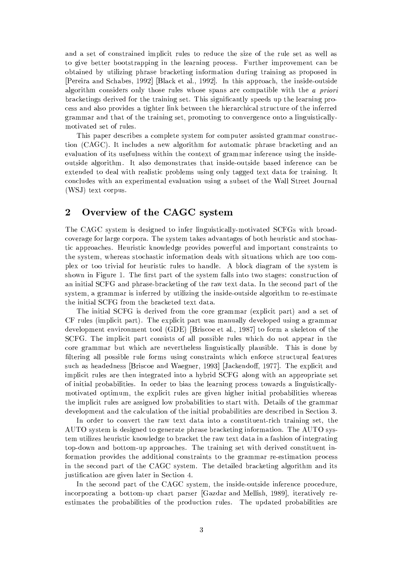6!849 <sup>6</sup> @ @+@&8 <sup>6358</sup> 9X3( 3H+3 <sup>B</sup> (H @ 9'B T <sup>2</sup> 3+\* @' <sup>2</sup> K <sup>B</sup> ( <sup>6</sup>A(+( <sup>6</sup>  $\mathcal{L} = \mathcal{L} = \mathcal{L} = \mathcal{L} = \mathcal{L} = \mathcal{L} = \mathcal{L} = \mathcal{L} = \mathcal{L} = \mathcal{L} = \mathcal{L} = \mathcal{L} = \mathcal{L} = \mathcal{L} = \mathcal{L} = \mathcal{L} = \mathcal{L} = \mathcal{L} = \mathcal{L} = \mathcal{L} = \mathcal{L} = \mathcal{L} = \mathcal{L} = \mathcal{L} = \mathcal{L} = \mathcal{L} = \mathcal{L} = \mathcal{L} = \mathcal{L} = \mathcal{L} = \mathcal{L} = \mathcal$ @ # <sup>6358</sup> 9 #) <sup>B</sup> 3 ( 3+\*+3584C <sup>2</sup> <sup>6</sup> # 6;: 3584C 358E @ 6 3@&8 9'B <sup>38</sup> <sup>C</sup> <sup>63843</sup> <sup>8</sup> <sup>C</sup> <sup>6</sup>@ @9 <sup>358</sup> .10L <sup>3</sup> <sup>6</sup> 6!849:126# 3 4 6)6E8J9 .( 6;: <sup>6</sup>(/ <sup>3</sup> 4 6)6)8;9 /-<sup>8</sup> <sup>243</sup> <sup>6</sup>@&62 <sup>3</sup> <sup>2</sup> <sup>358</sup> 39 - @&B 39 olganithro gonaidara ankr thoga rulea whose gnang are gomnatible with the gumient  $\blacksquare$  , and the state of the state of the state of the state of the state of the state of the state of the state of the state of the state of the state of the state of the state of the state of the state of the state of  6!84976(+@ @'&439 <sup>6</sup> 3C&2 Q( 358: # A <sup>8</sup> <sup>2</sup> <sup>243</sup> <sup>6</sup> 243+\*6( B <sup>B</sup> @' <sup>2</sup> <sup>3</sup> 8) 9  $\mathcal{A}$  and  $\mathcal{A}$  and  $\mathcal{A}$  and  $\mathcal{A}$  and  $\mathcal{A}$  and  $\mathcal{A}$  and  $\mathcal{A}$  and  $\mathcal{A}$  and  $\mathcal{A}$  $\overline{a}$  ,  $\overline{a}$  ,  $\overline{a}$  ,  $\overline{a}$  ,  $\overline{a}$  ,  $\overline{a}$  ,  $\overline{a}$  ,  $\overline{a}$  ,  $\overline{a}$  ,  $\overline{a}$  ,  $\overline{a}$  ,  $\overline{a}$  ,  $\overline{a}$  ,  $\overline{a}$  ,  $\overline{a}$  ,  $\overline{a}$  ,  $\overline{a}$  ,  $\overline{a}$  ,  $\overline{a}$  ,  $\overline{a}$  ,

 $\blacksquare$  . The set of the set of the set of the set of the set of the set of the set of the set of the set of the set of the set of the set of the set of the set of the set of the set of the set of the set of the set of the 3@48 >+/&- 358 (B49 6W8 A <sup>6</sup>(C!@ <sup>3</sup> <sup>2</sup> @ 6JB @6 3+ <sup>2</sup> <sup>6</sup>K# 6;: 3584C 6J849 6!8 &6( B6 3@&8 @' 3 <sup>B</sup> <sup>B</sup> ( <sup>8</sup> A3 <sup>2438</sup> <sup>2</sup> +@48,- @' C <sup>6</sup>6 38) 8 <sup>B</sup> 384C <sup>2</sup> <sup>358</sup> <sup>39</sup> - @&B 39 <sup>6</sup>(C!@ <sup>3</sup> <sup>2</sup> / - <sup>6</sup>(H@ <sup>9</sup> @&8 6 26 <sup>38</sup> <sup>39</sup> - @&B 39 K# <sup>6</sup>9 38) 8 \*6!8 # ;, 849 9 60 9 60 9 60 9 61 9 62 9 639 9 64 9 659 9 7 8 9 7 8 9 7 8 7 8 9 7 8 9 7 8 9 7 8 9 7 8 9 7 8 9 7 8 9 7 @48 (B49 NA3 <sup>2</sup> 6J8 , <sup>3</sup>D <sup>8</sup> <sup>6</sup>(L&6( B6 3@&8aB <sup>3</sup> 84C76 <sup>B</sup> # @' <sup>2</sup> P6(+( <sup>1</sup> <J@&B 86(  $(WSJ)$  text corpus.

## 2 Overview of the CAGC system

!2 > <sup>3</sup> <sup>9</sup> 3C48 9 @S358) ( 3584C&B43 3+\*6(+(-@ 3H&69 1
OA3 <sup>2</sup> #@&69&-  $\alpha$  , and a set of the set of the set of the set of the set of the set of the set of the set of the set of the set of the set of the set of the set of the set of the set of the set of the set of the set of the set of the  $\overline{a}$  , and  $\overline{a}$  , and  $\overline{a}$  , and  $\overline{a}$  , and  $\overline{a}$  , and  $\overline{a}$  , and  $\overline{a}$  , and  $\overline{a}$  , and  $\overline{a}$  , and  $\overline{a}$  , and  $\overline{a}$  , and  $\overline{a}$  , and  $\overline{a}$  , and  $\overline{a}$  , and  $\overline{a}$  ,  $\overline{1}$  . The contract of the contract of the contract of the contract of the contract of the contract of the contract of the contract of the contract of the contract of the contract of the contract of the contract of th -(+, @ O @4@ 3+&&356( @ <sup>2</sup> <sup>B</sup> <sup>3</sup> 3+ <sup>B</sup> (+ @ 26!849 (+ / #(@;: 9356C <sup>6</sup> @' <sup>2</sup> T- <sup>3</sup>  $24.99\pm0.000$  and  $24.99\pm0.000$  and  $24.99\pm0.000$  . And  $24.99\pm0.000$  and  $24.99\pm0.0000$  and  $24.99\pm0.0000$  and  $24.99\pm0.0000$  and  $24.99\pm0.0000$  . And  $24.99\pm0.0000$  and  $24.99\pm0.0000$  and  $24.99\pm0.0000$  and 6!8 <sup>35843</sup> <sup>36</sup>( 1
 6!849 <sup>2</sup> <sup>6</sup>- # 6;: 3584C @' <sup>2</sup> N <sup>6</sup><sup>A</sup> , 9'6 6/5-<sup>8</sup> <sup>2</sup> +@&849 <sup>6</sup> @' <sup>2</sup> - T3 <sup>6</sup> <sup>C</sup> 66 <sup>3</sup> 358) 9 #) <sup>B</sup> <sup>3</sup> ( 3+\*+384C <sup>2</sup> <sup>38</sup> <sup>39</sup> -Z@&B <sup>39</sup> <sup>6</sup>(C!@ <sup>3</sup> <sup>2</sup>G @ - <sup>3</sup>6  $\mathbf{1}$  ,  $\mathbf{1}$  ,  $\mathbf{1}$  ,  $\mathbf{1}$  ,  $\mathbf{1}$  ,  $\mathbf{1}$  ,  $\mathbf{1}$  ,  $\mathbf{1}$  ,  $\mathbf{1}$  ,  $\mathbf{1}$  ,  $\mathbf{1}$  ,  $\mathbf{1}$  ,  $\mathbf{1}$  ,  $\mathbf{1}$  ,  $\mathbf{1}$  ,  $\mathbf{1}$  ,  $\mathbf{1}$  ,  $\mathbf{1}$  ,  $\mathbf{1}$  ,  $\mathbf{1}$  ,

!2 <sup>35843</sup> <sup>356</sup>(1 <sup>3</sup> <sup>9</sup> 3H&9 @ <sup>2</sup> +@ <sup>C</sup> <sup>6</sup>6 ,( 3++3 <sup>6</sup> 6!849 <sup>6</sup> @'  $CF$  rules (implicit part). The explicit part was manually developed using a grammar  $\mathbf{P} = \mathbf{P} = \mathbf{P} = \mathbf{P} = \mathbf{P} = \mathbf{P} = \mathbf{P} = \mathbf{P} = \mathbf{P} = \mathbf{P} = \mathbf{P} = \mathbf{P} = \mathbf{P} = \mathbf{P} = \mathbf{P} = \mathbf{P} = \mathbf{P} = \mathbf{P} = \mathbf{P} = \mathbf{P} = \mathbf{P} = \mathbf{P} = \mathbf{P} = \mathbf{P} = \mathbf{P} = \mathbf{P} = \mathbf{P} = \mathbf{P} = \mathbf{P} = \mathbf{P} = \mathbf{P} = \mathbf$ 1M /Q!2 <sup>3</sup>( 3++3 T <sup>6</sup> +@&8 <sup>3</sup> @' <sup>6</sup>(+( @ <sup>3</sup> #(+ <sup>B</sup> (+A243 +2 9?@X84@ <sup>6</sup> <sup>6</sup> <sup>358</sup> <sup>2</sup> core grammar but which are nevertheless linguistically plausible. This is done by  $\alpha$  ,  $\alpha$  ,  $\alpha$  ,  $\alpha$  ,  $\alpha$  ,  $\alpha$  ,  $\alpha$  ,  $\alpha$  ,  $\alpha$  ,  $\alpha$  ,  $\alpha$  ,  $\alpha$  ,  $\alpha$  ,  $\alpha$  ,  $\alpha$  ,  $\alpha$  ,  $\alpha$  ,  $\alpha$  ,  $\alpha$  ,  $\alpha$  ,  $\alpha$  ,  $\alpha$  ,  $\alpha$  ,  $\alpha$  ,  $\alpha$  ,  $\alpha$  ,  $\alpha$  ,  $\alpha$  ,  $\alpha$  ,  $\alpha$  ,  $\alpha$  ,  $\alpha$  $\mathbf{1}$  and  $\mathbf{1}$  are the set of the set of the set of the set of the set of the set of the set of the set of the set of the set of the set of the set of the set of the set of the set of the set of the set of the set implicit rules are then integrated into a hybrid SCFG along with an appropriate set  $\overline{\phantom{a}}$  3456  $\overline{\phantom{a}}$  . The state  $\overline{\phantom{a}}$  and  $\overline{\phantom{a}}$  . The state  $\overline{\phantom{a}}$ motivated optimum, the explicit rules are given higher initial probabilities whereas <sup>2</sup> <sup>3</sup>( 3H+3 <sup>B</sup> (H <sup>6</sup> <sup>6</sup> 3C&8 9 (@A@ # <sup>6</sup>#3 ( <sup>3</sup> <sup>3</sup> @ <sup>6</sup>FA3 2;/ @ <sup>63</sup> (H @' <sup>2</sup> <sup>C</sup> <sup>6</sup>6  $\mathcal{P} = \{ \mathcal{P} = \{ \mathcal{P} = \{ \mathcal{P} = \mathcal{P} = \mathcal{P} = \mathcal{P} = \mathcal{P} = \mathcal{P} = \mathcal{P} = \mathcal{P} = \mathcal{P} = \mathcal{P} = \mathcal{P} = \mathcal{P} = \mathcal{P} = \mathcal{P} = \mathcal{P} = \mathcal{P} = \mathcal{P} = \mathcal{P} = \mathcal{P} = \mathcal{P} = \mathcal{P} = \mathcal{P} = \mathcal{P} = \mathcal{P} = \mathcal{P} = \mathcal{P} = \mathcal{P} = \mathcal{$ 

 $\bullet$  . A set of the set of the set of the set of the set of the set of the set of the set of the set of the set of the set of the set of the set of the set of the set of the set of the set of the set of the set of the set >= !? <sup>3</sup> <sup>9</sup> 3C&8 9 @0C <sup>8</sup> <sup>6</sup> <sup>2</sup> <sup>6</sup> # 6;: 384C0358) @ 6 3@&8;/Q!2 >>= !? - ل المال المسافرة المسافرة المسافرة المسافرة المسافرة المسافرة المسافرة المسافرة المسافرة المسافرة المسافرة المس  $\mathcal{P} = \{ \mathcal{P} \mid \mathcal{P} \mid \mathcal{P} \mid \mathcal{P} \mid \mathcal{P} \mid \mathcal{P} \mid \mathcal{P} \mid \mathcal{P} \mid \mathcal{P} \mid \mathcal{P} \mid \mathcal{P} \mid \mathcal{P} \mid \mathcal{P} \mid \mathcal{P} \mid \mathcal{P} \mid \mathcal{P} \mid \mathcal{P} \mid \mathcal{P} \mid \mathcal{P} \mid \mathcal{P} \mid \mathcal{P} \mid \mathcal{P} \mid \mathcal{P} \mid \mathcal{P} \mid \mathcal{P} \mid \mathcal{P} \mid \mathcal$  $\alpha$  6 308  $\alpha$  3093 D 2 3093 D 2 306 D 2 306 D 2 306 D 2 306 D 36 306 D 36 306 D 36 306 D 36 3.6 3.6  $\alpha$ <sup>38</sup> <sup>2</sup> +@&849 <sup>6</sup> @' <sup>2</sup> > - /!2 <sup>9</sup> <sup>63</sup> (+9 #6;: 3584Ca6(C!@ <sup>3</sup> <sup>2</sup> 6!849W3  $\mathbf{a}$  ,  $\mathbf{a}$  ,  $\mathbf{a}$  ,  $\mathbf{a}$  ,  $\mathbf{a}$  ,  $\mathbf{a}$  ,  $\mathbf{a}$  ,  $\mathbf{a}$  ,  $\mathbf{a}$  ,  $\mathbf{a}$ 

 $\bullet$  . The state of the state of the state of the state of the state of the state of the state of the state of the state of the state of the state of the state of the state of the state of the state of the state of the st incorporating a bottom-up chart parser [Gazdar and Mellish, 1989], iteratively re- $\mathcal{S}$  , and a set of the set of  $\mathcal{S}$  and  $\mathcal{S}$  and  $\mathcal{S}$  are found to  $\mathcal{S}$  . The foundation of  $\mathcal{S}$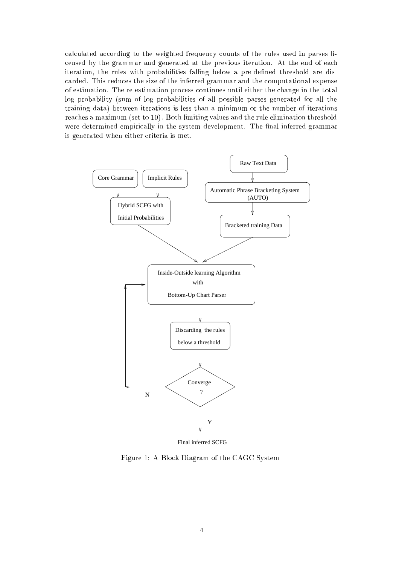6(\*B ( <sup>6</sup>9 6+@ 93584C @ <sup>2</sup> OAQ 3C429 !B 8 +@4B8 @' <sup>2</sup> B (+ <sup>B</sup> 9S3 <sup>8</sup> <sup>6</sup>( 3-  $8$  9  $8$  6.  $8$  6.  $8$  6.  $8$  6.  $8$  6.  $8$  6.  $8$  6.  $8$  6.  $8$  6.  $8$  6.  $8$  6.  $8$  6.  $8$ <sup>3</sup> <sup>6</sup> 3@&8 3Q <sup>2</sup> <sup>B</sup> (+A3 <sup>2</sup> @ # <sup>6</sup>#3 (3 <sup>3</sup> <sup>6</sup>(+( <sup>358</sup> <sup>C</sup> # J(@A <sup>6</sup> - <sup>9</sup> 8 9 <sup>2</sup> <sup>2</sup> @(9 <sup>6</sup> 93 - 69 9 / !243 F 9'B- Q <sup>2</sup> 3+\* @' <sup>2</sup> 358) 9 <sup>C</sup> <sup>6</sup>6 6!849 <sup>2</sup> +@ <sup>B</sup> <sup>6</sup>3@&86(Z, <sup>8</sup>  $\alpha$  is the set of the set of the set of the set of the set of the set of the set of the set of the set of the set of the set of the set of the set of the set of the set of the set of the set of the set of the set of the (@!C @ # <sup>6</sup>#3 ( <sup>3</sup> B @ (@!C @ # <sup>6</sup>#3 (3 <sup>3</sup> @' <sup>06</sup>(+( @ <sup>3</sup> #(K <sup>6</sup> <sup>C</sup> <sup>8</sup> <sup>6</sup>9 @ <sup>6</sup>(+(Q <sup>2</sup> 635843584C 9'6 6) # A <sup>8</sup> <sup>3</sup> <sup>6</sup> 3@&8 <sup>3</sup> (+ 26!8:6 35843B @ <sup>2</sup> 8JBD# @' <sup>3</sup> J <sup>6</sup> 3@&8 62 <sup>6</sup> 6,3B 2 @ 4 +/ @ <sup>2</sup> ( <sup>3</sup>3 3584C &6(B 6!849 <sup>2</sup> <sup>B</sup> (H ( <sup>3</sup>3 8?6 3@&8 <sup>2</sup> 24@(9  $\mathbb{R}^3 \rightarrow \mathbb{R}^3 \rightarrow \mathbb{R}^3 \rightarrow \mathbb{R}^3$  , and the set of  $\mathbb{R}^3$  is a contract of  $\mathbb{R}^3$ is generated when either criteria is met.



Final inferred SCFG

A3C&B 4 (@;: 356C <sup>6</sup> @' <sup>2</sup> <sup>1</sup>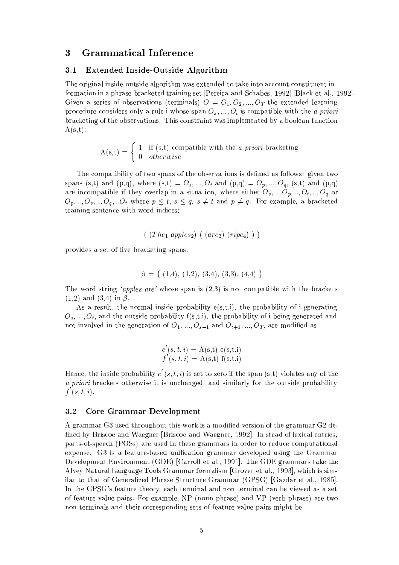#### }j~+~q W~ prsr\$p%r

#### $3.1$ Extended Inside-Outside Algorithm

Given a series of observations (terminals)  $Q = Q_1, Q_2, \ldots, Q_T$  the extended learning procedure considers only a rule i whose span  $O_8, ..., O_t$  is compatible with the *a priori* The original inside-outside algorithm was extended to take into account constituent in- $\alpha$  . The set of the state of the contract of the set of the set of the set of the set of the set of the set of the set of the set of the set of the set of the set of the set of the set of the set of the set of the set o #M 6;: 384C @' <sup>2</sup> @ # &6 3@&8 /I! <sup>243</sup> +@&8 <sup>6358</sup>2A6 <sup>3</sup>(+ D <sup>8</sup>9 #) <sup>6</sup> # @4@(+ 6!8D B8 3@&8  $3 \times 3$   $3 \times 3$   $3 \times 3$   $3 \times 3$   $3 \times 3$   $3 \times 3$   $3 \times 3$   $3 \times 3$   $3 \times 3$   $3 \times 3$   $3 \times 3$   $3 \times 3$   $3 \times 3$   $3 \times 3$   $3 \times 3$   $3 \times 3$   $3 \times 3$   $3 \times 3$   $3 \times 3$   $3 \times 3$   $3 \times 3$   $3 \times 3$   $3 \times 3$   $3 \times 3$   $3 \times 3$   $3 \times 3$   $3 \times 3$   $3 \times$ 

> $\Box$ ,  $\Box$  if (s.t) compatible with the *a priori* bracketing  $0$  otherwise  $\int_0^1 1$  if  $(a + b)$  compatible with the general home

spans (s,t) and (p,g), where  $(s,t) = Q_s, \ldots, Q_t$  and  $(p,q) = Q_s, \ldots, Q_s$  (s,t) and (p,g) are incompatible if they overlap in a situation, where either  $O_2, \ldots O_n, \ldots O_s$  or  $Q_n, \ldots Q_s, \ldots Q_n, Q_t$  where  $p \le t, s \le a, s \ne t$  and  $p \ne a$ . For example, a bracketed !2 +@ <sup>6</sup> <sup>3</sup>#3 ( <sup>3</sup> @ A@ 6!8 @' <sup>2</sup> @ # &6 3@&8 <sup>3</sup> <sup>9</sup> ;8 9 <sup>6</sup> @(+(@A C!3+& <sup>8</sup> A@ 635843584C <sup>8</sup> 8 A3 <sup>2</sup> A@ 9 358493+

 $((The \, 1 \, angles_2) ((area) (rise_4))$ 

 $\mathbf{A}$  . So a function of  $\mathbf{A}$  , and  $\mathbf{A}$  , and  $\mathbf{A}$  , and  $\mathbf{A}$ 

$$
\beta = \{ (1,4), (1,2), (3,4), (3,3), (4,4) \}
$$

The mord string (surfer our) whose span is  $(0, 9)$  is not governatible with the branksts. 4)318 6!849 <sup>3</sup> -H38 / ;

not involved in the generation of  $O_1, ..., O_{s-1}$  and  $O_{t+1}, ..., O_T$ , are modified as  $Q_{\rm s}$   $Q_{\rm t}$  and the outside probability  $f(s,t,i)$ , the probability of i being generated and <sup>6</sup> <sup>B</sup> (+ 3 <sup>2</sup> 84@ 6( <sup>358</sup> 39 @ # <sup>6</sup>#3 ( <sup>3</sup> 73 3 <sup>3</sup> <sup>3</sup> <sup>2</sup> @ # <sup>6</sup>#3 (3 @' 3AC <sup>8</sup> <sup>6</sup> 3584C

$$
e'(s,t,i) = A(s,t) e(s,t,i)
$$
  
 $f'(s,t,i) = A(s,t) f(s,t,i)$ 

Hence, the inside probability  $e'(s, t, i)$  is set to zero if the span  $(s, t)$  violates any of the  $f'(s, t, i)$ .  $\alpha$  priori honelets otherwise it is unabanged, and similarly for the outside probability.

#### 3.2 Core Grammar Development

 <sup>C</sup> <sup>6</sup>6 <sup>B</sup> 9 <sup>2</sup> @&B4C&24@&B <sup>243</sup> A@ : <sup>3</sup> <sup>6</sup> @4939D& 3@480@' <sup>2</sup> <sup>C</sup> <sup>6</sup>6 8 <sup>9</sup> - 8 9 #);Q <sup>3</sup> +@ 6!849 P6C48 F. <sup>3</sup> +@ 6!849 P6C&8 J354 6E6)8'9 /5- <sup>8</sup> <sup>69</sup> @' (H,3+\*6(M <sup>8</sup> <sup>3</sup>73 6- @' - <sup>2</sup> 0?1 <sup>6</sup> <sup>B</sup> 97358 <sup>2</sup> <sup>C</sup> <sup>6</sup>6 <sup>358</sup> @ 9 F @ 9'B +@ <sup>B</sup> <sup>6</sup> 3@&86(  $\sim$  8  $\sim$  8  $\sim$  8  $\sim$  8  $\sim$  8  $\sim$  8  $\sim$  8  $\sim$  8  $\sim$  8  $\sim$  8  $\sim$  8  $\sim$  8  $\sim$  8  $\sim$  8  $\sim$  8  $\sim$  8  $\sim$  8  $\sim$  8  $\sim$  8  $\sim$  8  $\sim$  8  $\sim$  8  $\sim$  8  $\sim$  8  $\sim$  8  $\sim$  8  $\sim$  8  $\sim$  8  $\sim$  8  $\sim$  8  $\sim$  8  $\sim$ Development Environment (GDE) [Carroll et al., 1991]. The GDE grammars take the  $\mathcal{A}$  , and the set of  $\mathcal{A}$  . The set of the set of the set of the set of the set of the set of the set of the set of the set of the set of the set of the set of the set of the set of the set of the set of the set المعالي المستقبل المستقبل المستقبل المستقبل المستقبل المستقبل المستقبل المستقبل المستقبل المستقبل المستقبل المس -<sup>8</sup> <sup>2</sup> 0 <sup>1</sup> <sup>6</sup> <sup>B</sup> @ <sup>2</sup> @ E3 62 3586( 6J849784@&8!- 3586( \*6!8 # &43 A976 <sup>6</sup> @' 2 <sup>6</sup> <sup>B</sup> -%&6( <sup>B</sup> <sup>63</sup> /&M@ F,6(+)3A <sup>0</sup> 84@&B8 <sup>2</sup> <sup>6</sup> 6J849<sup>0</sup> & # <sup>2</sup> <sup>6</sup> <sup>6</sup>A@  $8.6$  and  $1.3$   $1.4$   $1.6$   $1.6$   $1.6$   $1.6$   $1.6$   $1.6$   $1.6$   $1.6$   $1.6$   $1.6$   $1.6$   $1.6$   $1.6$   $1.6$   $1.6$   $1.6$   $1.6$   $1.6$   $1.6$   $1.6$   $1.6$   $1.6$   $1.6$   $1.6$   $1.6$   $1.6$   $1.6$   $1.6$   $1.6$   $1.6$   $1.6$   $1.6$   $1.6$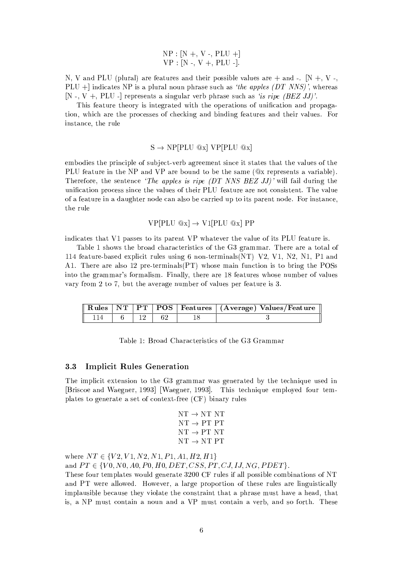$$
NP : [N +, V -, PLU +]
$$
  
VP : [N -, V +, PLU -].

 <sup>3</sup> 6!8490& <sup>=</sup> ( <sup>B</sup> <sup>6</sup>( <sup>6</sup> <sup>6</sup> <sup>B</sup> 6!849 <sup>2</sup> <sup>3</sup> > @ <sup>3</sup> #(H &6( <sup>B</sup> <sup>6</sup>- 6!849 -)/ .D3 - <sup>3</sup>  $\text{DIII}$  i indicates ND is a plural noun phrase such as (the smales (DT  $\overline{MMC}$ ) whereas  $\mathbf{M} = \mathbf{V} + \mathbf{D}$   $\mathbf{H}$  be a sequente a singular vanh phases such as  $\langle \mathbf{v} \rangle$   $\langle \mathbf{D} \mathbf{F} \mathbf{Z} \mathbf{H} \mathbf{I} \rangle$ 

!243 6 <sup>B</sup> D <sup>2</sup> @ <sup>3</sup> <sup>358</sup>C <sup>6</sup>9 A3 <sup>2</sup> <sup>2</sup> @ <sup>6</sup> 3@&8 @' B843\*6 3@&8 6!849 @ 6C46\*-  $\overline{a}$  , and  $\overline{a}$  and  $\overline{a}$  and  $\overline{a}$  and  $\overline{a}$  . The state  $\overline{a}$ instance, the rule

#### $0$  . Ninfinitir @  $1$  . Unfinitir @  $1$

 $\blacksquare$  . The distribution of the set of the set of the set of the set of the set of the set of the set of the set of the set of the set of the set of the set of the set of the set of the set of the set of the set of the s 0&5= <sup>6</sup> <sup>B</sup> <sup>358</sup> <sup>2</sup> #0 6!849<sup>0</sup> <sup>6</sup> # @&B849 @ # @ <sup>2</sup> @ <sup>6</sup>D ,T <sup>8</sup> 6D&6 <sup>356</sup>#(+ +/  $\Gamma$  be the contener  $\langle \mathcal{T} L \rangle$  and is nine  $\langle \mathcal{D} \mathcal{T} \rangle$   $\langle \mathcal{D} \mathcal{T} \rangle$   $\langle \mathcal{T} L \rangle$   $\langle \mathcal{T} L \rangle$   $\langle \mathcal{T} L \rangle$  $\mathcal{A}$  and the state of the state  $\mathcal{A}$  , the state of the state of the state of the state of the state of the state of the state of the state of the state of the state of the state of the state of the state of the s  $\blacksquare$  and a set of the state of the state of the state of the state of the state of the state of the state of the state of the state of the state of the state of the state of the state of the state of the state of the st  $\mathbf{B}$  and  $\mathbf{B}$  and  $\mathbf{B}$  and  $\mathbf{B}$  and  $\mathbf{B}$ 

$$
VP[PLU @x] \rightarrow V1[PLU @x] PP
$$

38493+\*6> 26 <sup>4</sup> <sup>6</sup>> @ <sup>3</sup> <sup>6</sup> <sup>8</sup> 0\$A26& F <sup>2</sup> &6(B @' <sup>3</sup> 0&5= <sup>6</sup> <sup>B</sup> <sup>3</sup> /

!-<sup>6</sup>#(+4 24@AN <sup>2</sup> D#@&69 26 <sup>6</sup> <sup>3</sup> 3+ @' <sup>2</sup> D <sup>C</sup> <sup>6</sup>6 />!2 <sup>6</sup> <sup>6</sup> @ <sup>6</sup>( @'  $\mathcal{A}$  and a set of the set of the set of the set of the set of the set of the set of the set of the set of the set of the set of the set of the set of the set of the set of the set of the set of the set of the set of t <sup>4</sup> /!2 <sup>6</sup> <sup>6</sup>(H@ 4 8 - 3586(+ 0! A24@6358 B8 3@&8a3 @ # 384C <sup>2</sup> 0?1 <sup>38</sup> @ <sup>2</sup> <sup>C</sup> <sup>6</sup>6H @ 6( <sup>3</sup> /%A386(+(+E3 <sup>2</sup> <sup>6</sup> 4( <sup>6</sup> <sup>B</sup> A24@ 8&B# @' &6( <sup>B</sup>  $\overline{a}$  ,  $\overline{a}$  ,  $\overline{a}$  ,  $\overline{a}$  ,  $\overline{a}$  ,  $\overline{a}$  ,  $\overline{a}$  ,  $\overline{a}$  ,  $\overline{a}$  ,  $\overline{a}$  ,  $\overline{a}$  ,  $\overline{a}$  ,  $\overline{a}$  ,  $\overline{a}$  ,  $\overline{a}$  ,  $\overline{a}$  ,  $\overline{a}$  ,  $\overline{a}$  ,  $\overline{a}$  ,  $\overline{a}$  ,

| Rules |  |  | NT   PT   POS   Features   (Average) Values/Feature |
|-------|--|--|-----------------------------------------------------|
|       |  |  |                                                     |

| Table 1: Broad Characteristics of the G3 Grammar |  |
|--------------------------------------------------|--|
|--------------------------------------------------|--|

#### 3.3 Implicit Rules Generation

The implicit extension to the G3 grammar was generated by the technique used in . <sup>3</sup> +@ 6!849 P6C48 35476)6 <sup>9</sup> .P6C&8 3 4 6E6 <sup>9</sup> / !243 2843!B < (@)9 @4B -  $\sim$  -6  $\sim$  -6  $\sim$  -6  $\sim$  -6  $\sim$  -6  $\sim$  -6  $\sim$  -6  $\sim$  -6  $\sim$  -6  $\sim$  -6  $\sim$  -6  $\sim$  -6  $\sim$  -6  $\sim$  -6  $\sim$  -6  $\sim$  -6  $\sim$  -6  $\sim$  -6  $\sim$  -6  $\sim$  -6  $\sim$  -6  $\sim$  -6  $\sim$  -6  $\sim$  -6  $\sim$  -6  $\sim$  -6  $\sim$  -6  $\sim$ 

| $NT \rightarrow NTNT$   |  |
|-------------------------|--|
| $N T \rightarrow PT PT$ |  |
| $NT \rightarrow PTNT$   |  |
| $NT \rightarrow NT$ PT  |  |

 $\mathbf{1}$  after the star and started the started started the started started started started started started started started started started started started started started started started started started started started s

 $\overline{1}$  p.  $\overline{1}$  (1)  $\overline{3}$  is to perform and properties  $\overline{2}$  and  $\overline{3}$   $\overline{4}$  and  $\overline{4}$   $\overline{5}$  and  $\overline{4}$   $\overline{5}$  and  $\overline{4}$  and  $\overline{5}$  and  $\overline{4}$  and  $\overline{5}$  and  $\overline{5}$  and  $\overline{5}$  and

!2 @&B (6 A@&B (9 <sup>C</sup>8 <sup>6</sup> <sup>8</sup> )  <sup>B</sup>(+ <sup>3</sup>A6(+( @ <sup>3</sup> #(H +@#3586 3@&8 @' !  $\mathbf{A} \equiv \mathbf{A} \equiv \mathbf{A} \equiv \mathbf{A} \equiv \mathbf{A} \equiv \mathbf{A} \equiv \mathbf{A} \equiv \mathbf{A} \equiv \mathbf{A} \equiv \mathbf{A} \equiv \mathbf{A} \equiv \mathbf{A} \equiv \mathbf{A} \equiv \mathbf{A} \equiv \mathbf{A} \equiv \mathbf{A} \equiv \mathbf{A} \equiv \mathbf{A} \equiv \mathbf{A} \equiv \mathbf{A} \equiv \mathbf{A} \equiv \mathbf{A} \equiv \mathbf{A} \equiv \mathbf{A} \equiv \mathbf{A} \equiv \mathbf{A} \equiv \mathbf{A} \equiv \mathbf{$ implausible because they violate the constraint that a phrase must have a head, that <sup>3</sup> 3 <sup>6</sup> <sup>0</sup> B +@&8 6358R6 84@&B8R6!849 <sup>6</sup> 0CB +@&8 <sup>638</sup> 6K& # <sup>3</sup> 6J849 @K @ 2;/ !2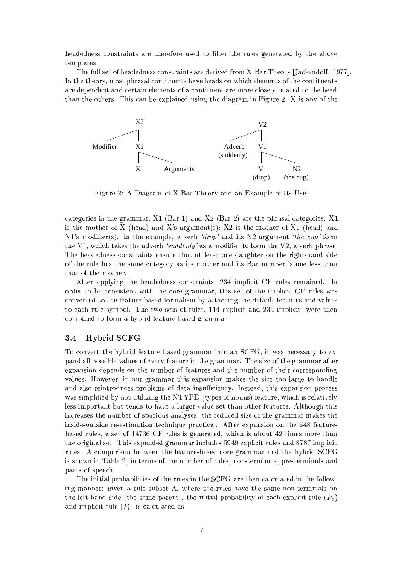<sup>2</sup> <sup>69</sup> 9'8 +@&8 6358 <sup>6</sup> <sup>2</sup> @ <sup>B</sup> 9 @(H <sup>2</sup> <sup>B</sup> (+C <sup>8</sup> <sup>6</sup>9 #) <sup>2</sup> <sup>6</sup># @'&  $\mathbf{f}(\mathbf{s}) = \mathbf{f}(\mathbf{s})$  , and the set of  $\mathbf{s}$  and  $\mathbf{s}$  and  $\mathbf{s}$  and  $\mathbf{s}$  and  $\mathbf{s}$ 

!2 <sup>B</sup> (+( @' M2 <sup>69</sup> 9'8 +@&8 <sup>638</sup> <sup>6</sup> <sup>9</sup> 3+&9 @--6 !2 @ D.<&6;: 849@<sup>3</sup> 4 6))9 / -<sup>8</sup> <sup>2</sup> <sup>2</sup> @ )3[@I <sup>2</sup> <sup>6</sup> <sup>6</sup>( +@&8 <sup>3</sup> <sup>B</sup> <sup>8</sup> 26 & <sup>2</sup> <sup>69</sup> @&8 A243+2 (H D <sup>8</sup> @' <sup>2</sup> +@&8 <sup>3</sup> <sup>B</sup> <sup>8</sup> <sup>6</sup> <sup>9</sup> <sup>849</sup> <sup>8</sup> 6J849  <sup>6358</sup> (+ D <sup>8</sup> @' 6+@48 <sup>3</sup> <sup>B</sup> <sup>8</sup> <sup>6</sup>@  (@(H ( <sup>6</sup>9 @ <sup>2</sup> <sup>2</sup> <sup>69</sup> 26!8 <sup>2</sup> @ <sup>2</sup> / !243 \*6J8 # ,M( <sup>6358</sup> 9 <sup>B</sup> 3584C <sup>2</sup> 9356C <sup>6</sup> <sup>38</sup> A3C&B @8 / -<sup>3</sup> 6!8 @' <sup>2</sup>



A3C&B <sup>8</sup> 36C <sup>6</sup> @' --6 !2 @ 6!849 6!8 ,6(+ @' %- =

6C!@ <sup>3</sup> <sup>38</sup> <sup>2</sup> <sup>C</sup> <sup>6</sup>63-D4 6@4 6!849 -@8 68 6N <sup>2</sup> <sup>2</sup> <sup>6</sup> <sup>6</sup>( \*6C!@ <sup>3</sup> / -ا العالم العام العام العام العام العام العام العام العام العام العام العام العام العام العام العام العام العام  $V1$ , unadificate). In the convention result (deep) and its M9 aggregate (the coupling  $\epsilon$  <sup>2</sup> 4)3)A243H2 6): <sup>2</sup> 69& # <sup>6</sup> <sup>6</sup> @493 @N @ C <sup>2</sup> 83 6
& # <sup>2</sup> <sup>6</sup> / BG E CjJ The headedness constraints ensure that at least one daughter on the right-hand side  $\alpha$  and the state of the state of the state of the state of the state of the state of the state of the state of the state of the state of the state of the state of the state of the state of the state of the state of the  $26$   $26$   $27$   $28$   $29$   $20$   $20$ 

 <sup>6</sup>(+3584C <sup>2</sup> <sup>2</sup> <sup>69</sup> 9'8 +@&8 6358 3
8 R3( 3++3  <sup>B</sup> (+ 6358 9 / -<sup>8</sup>  $\blacksquare$  . The set of the set of the set of the set of the set of the set of the set of the set of the set of the set of the set of the set of the set of the set of the set of the set of the set of the set of the set of the @48)& 9 @ <sup>2</sup> <sup>6</sup> <sup>B</sup> - # <sup>6</sup>9 @ 6( <sup>3</sup> #) <sup>6</sup> 6243584C <sup>2</sup> <sup>9</sup> 6JB (H <sup>6</sup> <sup>B</sup> 6J8&9 &6( <sup>B</sup>  $\mathcal{L} = \mathcal{L} = \mathcal{L} = \mathcal{L} = \mathcal{L} = \mathcal{L} = \mathcal{L} = \mathcal{L} = \mathcal{L} = \mathcal{L} = \mathcal{L} = \mathcal{L} = \mathcal{L} = \mathcal{L} = \mathcal{L} = \mathcal{L} = \mathcal{L} = \mathcal{L} = \mathcal{L} = \mathcal{L} = \mathcal{L} = \mathcal{L} = \mathcal{L} = \mathcal{L} = \mathcal{L} = \mathcal{L} = \mathcal{L} = \mathcal{L} = \mathcal{L} = \mathcal{L} = \mathcal{L} = \mathcal$ @#358 9 @D @ <sup>6</sup> <sup>2</sup>M# 39 <sup>6</sup> <sup>B</sup> - # <sup>6</sup>9 <sup>C</sup> <sup>6</sup>6 /

### 3.4 Hybrid SCFG

 $\blacksquare$  . It is a set of  $\blacksquare$ 6J849 <sup>6</sup>(+( @ <sup>3</sup> #(H &6(B @' & <sup>6</sup> <sup>B</sup> <sup>38</sup> <sup>2</sup> <sup>C</sup> <sup>6</sup>6 /F! <sup>2</sup> 3+\* @' <sup>2</sup> <sup>C</sup> <sup>6</sup>6 <sup>6</sup> ;, 6!8 3@&879 <sup>849</sup> @&8 <sup>2</sup> 8&B# @' <sup>6</sup> <sup>B</sup> 6!849 <sup>2</sup> 8&B# @' <sup>2</sup> <sup>3</sup> +@ @&8493584C values. However, in our grammar this expansion makes the size too large to handle 6!849S6(+@ <sup>358</sup>@49'B @ #(+ D @' 9'6 <sup>6</sup> <sup>358</sup> B+3 8/ -<sup>8</sup> <sup>69</sup> <sup>3</sup> <sup>243</sup>@, 6!8 3@&8 @M A6 <sup>3</sup>-( 39 #) 84@ <sup>B</sup> <sup>3</sup> ( 3H\*+3584C <sup>2</sup> \$ !>0& M @' 84@&B8 <sup>6</sup> <sup>B</sup> )3'A243H2 <sup>3</sup> ( <sup>6</sup> 3+&(H (H 3 & 36) A 369 Q 849 Q 849 Q 849 Q 849 Q 849 Q 849 Q 849 Q 849 Q 844 Q 844 Q 844 Q 844 Q 844 Q 844 Q 844 Q 84  $\mathbf{S} = \mathbf{S} \mathbf{S}$  $\mathbf{1} \quad \mathbf{3} \quad \mathbf{4} \quad \mathbf{5} \quad \mathbf{1} \quad \mathbf{1} \quad \mathbf{1} \quad \mathbf{1} \quad \mathbf{1} \quad \mathbf{1} \quad \mathbf{1} \quad \mathbf{1} \quad \mathbf{1} \quad \mathbf{1} \quad \mathbf{1} \quad \mathbf{1} \quad \mathbf{1} \quad \mathbf{1} \quad \mathbf{1} \quad \mathbf{1} \quad \mathbf{1} \quad \mathbf{1} \quad \mathbf{1} \quad \mathbf{1} \quad \mathbf{1} \quad \mathbf{1} \quad \mathbf{1} \quad \mathbf{$ #69 <sup>B</sup> (+ 3 <sup>6</sup> @' <sup>4</sup> <sup>B</sup> (+ <sup>3</sup> <sup>C</sup> <sup>8</sup> <sup>6</sup>9 <sup>3</sup> A243+2 <sup>3</sup> 6# @&B 8 <sup>3</sup>ON@ 26!8 <sup>2</sup> @ 3C!3586(M / ! <sup>243</sup> , <sup>849</sup> 9 <sup>C</sup> <sup>6</sup>6 358- ( B49 %)6 6N,( 3++3 <sup>B</sup> (+J6J8&9 ( )() <sup>3</sup>( <sup>3</sup> +3 <sup>B</sup> (H / +@ <sup>6</sup> <sup>3</sup>@&8 # A <sup>8</sup> <sup>2</sup> <sup>6</sup> <sup>B</sup> - #69 +@ <sup>C</sup> <sup>6</sup>6 6!849 <sup>2</sup> <sup>2</sup>M# 39W1
 <sup>3</sup>Q 24@A8 <sup>358</sup> !-<sup>6</sup>#(+N83 <sup>358</sup> O @' <sup>2</sup> 8&B# @ <sup>B</sup> (H73 84@48!- 3586(+ 3- 386(H 6!849  $\alpha$  and  $\alpha$  and  $\alpha$  and  $\alpha$  and  $\alpha$ 

the left-hand side (the same parent), the initial probability of each explicit rule  $(P_*)$ and implicit rule  $(D_i)$  is calculated as !2 <sup>35843</sup> <sup>356</sup>( @ # <sup>6</sup>#3 (3 <sup>3</sup> @' <sup>2</sup> <sup>B</sup> ( <sup>3</sup> <sup>8</sup> <sup>2</sup> 1 <sup>6</sup> > <sup>2</sup> 8O\*6( \*B ( <sup>6</sup>9 <sup>358</sup> <sup>2</sup> @(+(@Aing manner: given a rule subset A, where the rules have the same non-terminals on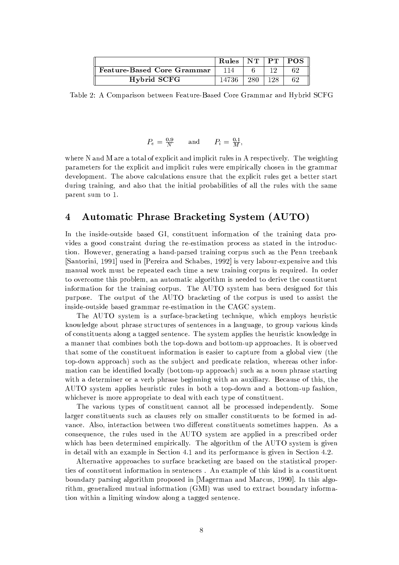|                                   | Rules | N T | ${\bf PT}$ | <b>POS</b> |
|-----------------------------------|-------|-----|------------|------------|
| <b>Feature-Based Core Grammar</b> |       |     |            |            |
| Hybrid SCFG                       |       |     |            |            |

!-<sup>6</sup>#(+ <sup>8</sup> @ <sup>6</sup> <sup>3</sup>@&8 # A <sup>8</sup> <sup>6</sup> <sup>B</sup> -69 @ <sup>6</sup>6 6!849 ,# 39:1


$$
P_e = \frac{0.9}{N}
$$
 and  $P_i = \frac{0.1}{M}$ ,

 $\blacksquare$  , and the set of the set of the set of the set of the set of the set of the set of the set of the set of the set of the set of the set of the set of the set of the set of the set of the set of the set of the set of  $\blacksquare$  . A set of the set of the set of the set of the set of the set of the set of the set of the set of the set of the set of the set of the set of the set of the set of the set of the set of the set of the set of the s development. The above calculations ensure that the explicit rules get a better start 9?B 384C 63843584C <sup>3</sup> 6!849 <sup>6</sup>(+@ 26 <sup>2</sup> <sup>35843</sup> <sup>356</sup>(@ #6#3 ( <sup>3</sup> <sup>3</sup> @' <sup>6</sup>(+(I <sup>2</sup> <sup>B</sup> (J A3 <sup>2</sup> <sup>2</sup> <sup>6</sup>D parent sum to 1.

## , and the state  $\sim$  to the state of the state of the state of the state of the state of the state of the state of the state of the state of the state of the state of the state of the state of the state of the state of th

-<sup>8</sup> <sup>2</sup> <sup>358</sup> 39 - @&B 39 \$# <sup>6</sup>9 - <sup>3</sup> +@&8 <sup>3</sup> <sup>B</sup> <sup>8</sup> 358) @ 6 3@&8 @' <sup>2</sup> < 635843584C 9'6 <sup>6</sup> @ vides a good constraint during the re-estimation process as stated in the introduc- $\overline{a}$  , and  $\overline{a}$  , and  $\overline{a}$  are set of  $\overline{a}$  . The set of  $\overline{a}$  and  $\overline{a}$  and  $\overline{a}$  and  $\overline{a}$  and  $\overline{a}$  and  $\overline{a}$  and  $\overline{a}$  and  $\overline{a}$  and  $\overline{a}$  and  $\overline{a}$  and  $\overline{a}$  and  $\overline{a$ [Santorini, 1991] used in [Pereira and Schabes, 1992] is very labour-expensive and this . A : B6( A : B6( A 5) 6( A 6) 6( A 6) 6( A 6) 6( A 6) 6( A 63843584 C + 63843584 C + 63843584 C + 64  $\mathcal{L} = \{A \mid A \mid A \in \mathcal{A} \}$  and  $A \in \mathcal{L}$  and  $A \in \mathcal{L}$  and  $A \in \mathcal{L}$  and  $A \in \mathcal{L}$  and  $A \in \mathcal{L}$  and  $A \in \mathcal{L}$  and  $A \in \mathcal{L}$  and  $A \in \mathcal{L}$  and  $A \in \mathcal{L}$  and  $A \in \mathcal{L}$  and  $A \in \mathcal{L}$  and  $A \in \mathcal{L}$  38) @ 6 3@&8 @ 2 63843584C +@ <sup>B</sup> / !2 =!? 26# <sup>8</sup> <sup>9</sup> 3C&8 9 @ 243 B @ / !2 @4B <sup>B</sup> @' <sup>2</sup> =!? # 6;: 3584C @' <sup>2</sup> +@ <sup>B</sup> <sup>3</sup> <sup>B</sup> 9 @X6 <sup>3</sup> <sup>2</sup> inside-outside based grammar re-estimation in the CAGC system.

 $\mathbf{r}$  and  $\mathbf{r}$  and  $\mathbf{r}$  and  $\mathbf{r}$  and  $\mathbf{r}$  and  $\mathbf{r}$  and  $\mathbf{r}$  and  $\mathbf{r}$  and  $\mathbf{r}$  and  $\mathbf{r}$  and  $\mathbf{r}$  and  $\mathbf{r}$  and  $\mathbf{r}$  and  $\mathbf{r}$  and  $\mathbf{r}$  and  $\mathbf{r}$  and  $\mathbf{r}$  and  $\blacksquare$  . A set of the set of the set of the set of the set of the set of the set of the set of the set of the set of the set of the set of the set of the set of the set of the set of the set of the set of the set of the s  $\alpha$  is the set of  $\alpha$  and  $\alpha$  and  $\alpha$  and  $\alpha$  and  $\alpha$ <sup>6</sup> 6!88 26 @#358 Q# @ <sup>2</sup> <sup>2</sup> > @ - 9@A8 6!849 # @ @-.B <sup>6</sup>@&62 /&- <sup>3</sup> @ # &9  $\blacksquare$  . A set of the set of the set of the set of the set of the set of the set of the set of the set of the set of the set of the set of the set of the set of the set of the set of the set of the set of the set of the s  $\alpha$  . The same state of the state of the state of the state of the state of the state of the state of the state of the state of the state of the state of the state of the state of the state of the state of the state of t mation can be identified locally (bottom-up approach) such as a noun phrase starting A3 2:6 <sup>9</sup> 358 @ 6& # <sup>2</sup> <sup>6</sup> # C!358843584C A3 <sup>2</sup> 6!8 6!B ,3( <sup>356</sup>/ \*6!B @' <sup>243</sup>73 <sup>2</sup>  $+$  . The set of the set of the set of the set of the set of the set of the set of the set of the set of the set of the set of the set of the set of the set of the set of the set of the set of the set of the set of the se  $\mathcal{A} = \mathcal{A} \cup \mathcal{A}$  , and a set of a set of a set of a set of a set of a set of a set of a set of a set of a set of a set of a set of a set of a set of a set of a set of a set of a set of a set of a set of a set of a

!2 &6 3@&B ; @' +@&8 <sup>3</sup> <sup>B</sup> <sup>8</sup> \*6!884@ <sup>6</sup>(+( # @ 9 <sup>3849</sup> <sup>849</sup> <sup>8</sup>(/ 14@D  $\blacksquare$  . The set of the set of the set of the set of the set of the set of the set of the set of the set of the set of the set of the set of the set of the set of the set of the set of the set of the set of the set of the vance. Also, interaction between two different constituents sometimes happen. As a consequence, the rules used in the AUTO system are applied in a prescribed order A243H2 26N# <sup>8</sup> <sup>9</sup> 3589 3 3+\*6( (/!2 <sup>6</sup>(C!@ <sup>3</sup> <sup>2</sup> @' <sup>2</sup> =!>? <sup>3</sup> C!3+& <sup>8</sup> <sup>38</sup> <sup>9</sup> <sup>63</sup> ( A3 <sup>2</sup> 6J8 ,6(+ <sup>358</sup> <sup>1</sup>  3@&8G '/ <sup>4</sup> 6!849 <sup>3</sup> @ 6J8 <sup>3</sup> C!3+& <sup>8</sup> <sup>3</sup> <sup>871</sup>  3@&8 '/ <sup>8</sup> /

. A set of the set of the set of the set of the set of the set of the set of the set of the set of the set of the set of the set of the set of the set of the set of the set of the set of the set of the set of the set of t . A state of the state of the state of the state of the state of the state of the state of the state of the state of the state of the state of the state of the state of the state of the state of the state of the state of t  $\blacksquare$  . The state of the state of the state of the state of the state of the state of the state of the state of the state of the state of the state of the state of the state of the state of the state of the state of the <sup>3</sup> <sup>2</sup>T3 <sup>C</sup> <sup>8</sup> <sup>6</sup>( 3H\* 9 B B6( 358) @ 6 3@48 +-% A6 <sup>B</sup> 9 @ ,- <sup>6</sup> # @4B849'6 358) @ 6\*-  $3.88$  A3  $3.9$  a3  $3.9$  a358  $3.9$  a3584  $3.9$  a3584  $\pm$  0.000  $\pm$  0.000  $\pm$  0.000  $\pm$  0.000  $\pm$  0.000  $\pm$  0.000  $\pm$  0.000  $\pm$  0.000  $\pm$  0.000  $\pm$  0.000  $\pm$  0.000  $\pm$  0.000  $\pm$  0.000  $\pm$  0.000  $\pm$  0.000  $\$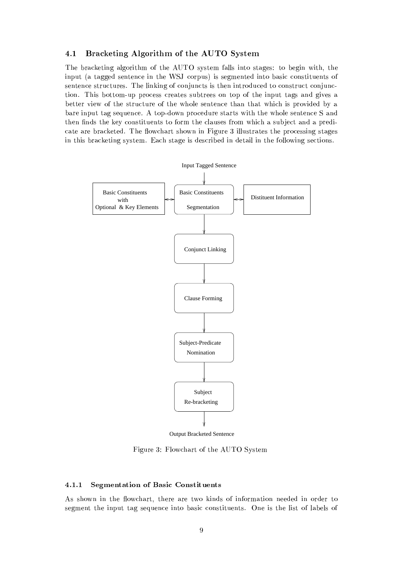### $\mathcal{M}$  if  $\mathcal{M}$  and  $\mathcal{M}$  are  $\mathcal{M}$  and  $\mathcal{M}$

!2 # 6;: 3584C <sup>6</sup>(C!@ <sup>3</sup> <sup>2</sup> @ <sup>2</sup>>= !? <sup>6</sup>(+(H <sup>358</sup>@ 6C @ # C!358 A3 <sup>2</sup> 3I <sup>2</sup> input (a tagged sentence in the WSJ corpus) is segmented into basic constituents of  $\mathbb{R}^3 \rightarrow \mathbb{R}^3$  and  $\mathbb{R}^3$  and  $\mathbb{R}^3$  and  $\mathbb{R}^3$  becomes the set of the set of the set of the set of the set of the set of the set of the set of the set of the set of the set of the set of the set of the  $\overline{\phantom{a}}$  . The contract of the contract of the contract of the contract of the contract of the contract of the contract of the contract of the contract of the contract of the contract of the contract of the contract of # &43 A @' <sup>2</sup> B <sup>B</sup> @' <sup>2</sup> A24@(+O <sup>8</sup> 8 26!8 26A243+2a3 @'&&39 9 #) <sup>6</sup> bare input tag sequence. A top-down procedure starts with the whole sentence S and <sup>2</sup> 8;849 <sup>2</sup> : +@&8 <sup>3</sup> <sup>B</sup> <sup>8</sup>> @ @ G <sup>2</sup>  ( 6!B @GA243H276 <sup>B</sup> #  6!849:6 93-  $\mathcal{A} = \mathcal{A} = \mathcal{A} = \mathcal{A} = \mathcal{A} = \mathcal{A} = \mathcal{A} = \mathcal{A} = \mathcal{A} = \mathcal{A} = \mathcal{A} = \mathcal{A} = \mathcal{A} = \mathcal{A} = \mathcal{A} = \mathcal{A} = \mathcal{A} = \mathcal{A} = \mathcal{A} = \mathcal{A} = \mathcal{A} = \mathcal{A} = \mathcal{A} = \mathcal{A} = \mathcal{A} = \mathcal{A} = \mathcal{A} = \mathcal{A} = \mathcal{A} = \mathcal{A} = \mathcal{A} = \mathcal$  $\alpha$  and  $\alpha$  is a function of the function of the set of the set of the set of the set of the set of the set of the set of the set of the set of the set of the set of the set of the set of the set of the set of the set o



Output Bracketed Sentence

A3C&B (@A26 @' <sup>2</sup> >= !? <sup>1</sup> 

### 4.1.1 Segmentation of Basic Constituents

 24@A8 <sup>358</sup> <sup>2</sup> -@A2673> <sup>2</sup> <sup>6</sup> A@ :!35849 @' 358) @ 6 3@&8 <sup>8</sup> 9 9 <sup>358</sup> @ 9 @  $\blacksquare$  . The set of the set of the set of the set of the set of the set of the set of the set of the set of the set of the set of the set of the set of the set of the set of the set of the set of the set of the set of the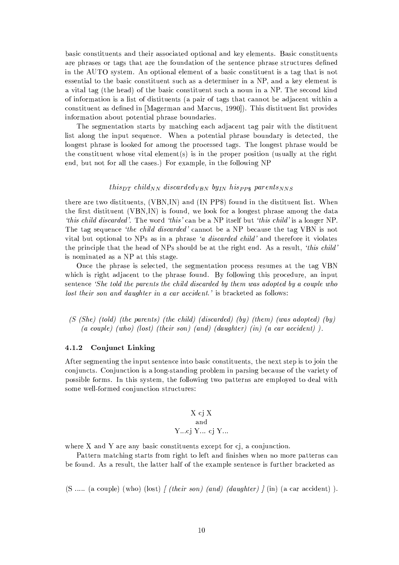basic constituents and their associated optional and key elements. Basic constituents  $\mathcal{A}$  and  $\mathcal{A}$  and  $\mathcal{A}$  are all  $\mathcal{A}$  and  $\mathcal{A}$  and  $\mathcal{A}$  and  $\mathcal{A}$  and  $\mathcal{A}$  and  $\mathcal{A}$  and  $\mathcal{A}$  and  $\mathcal{A}$  and  $\mathcal{A}$  and  $\mathcal{A}$  and  $\mathcal{A}$  and  $\mathcal{A}$  and  $\mathcal{A}$  and  $\mathcal{A}$  <sup>38</sup> <sup>2</sup> =!? / 8 @ 3@&86(5(+ D <sup>8</sup> @' 6 # <sup>6</sup> 3+ +@&8 <sup>3</sup> <sup>B</sup> <sup>8</sup> <sup>3</sup> <sup>6</sup> 6C 26 <sup>3</sup> 84@  $\blacksquare$  . The state of the state of the state of the state of the state of the state of the state of the state of the state of the state of the state of the state of the state of the state of the state of the state of the 6&&3 <sup>6</sup>(5 6C <sup>2</sup> <sup>2</sup> 69Z@' <sup>2</sup> # <sup>6</sup> 3+ +@&8 <sup>3</sup> <sup>B</sup> <sup>8</sup> B276 84@4B8 358:6 0/ !2 +@&849 :J3849 @' 358) @ 6 3@&8 <sup>3</sup> <sup>6</sup> ( <sup>3</sup> @ 93 <sup>3</sup> <sup>B</sup> <sup>8</sup> 6 <sup>63</sup> @' 6C 26 \*6!884@N# 69 <sup>6</sup> <sup>8</sup>A3 24358:6 constituent as defined in [Magerman and Marcus, 1990]). This distituent list provides 38) @ 6 3@&8 <sup>6</sup># @&B @ <sup>8</sup> <sup>356</sup>( <sup>2</sup> <sup>6</sup> # @4B849?6 <sup>3</sup> /

The segmentation starts by matching each adjacent tag pair with the distituent . I Barbara 1980 in the second term in the second term in the second term in the second term in the second ter (@&84C <sup>2</sup> <sup>6</sup> <sup>3</sup> N(@4@:9 @ <sup>6</sup>@&84C <sup>2</sup> O@ 9 6C / !2 (@&84C <sup>2</sup> <sup>6</sup> A@&B (9 #  $\mathbf{1}$  and  $\mathbf{1}$  and  $\mathbf{1}$  and  $\mathbf{1}$  and  $\mathbf{1}$  and  $\mathbf{1}$  and  $\mathbf{1}$  and  $\mathbf{1}$  and  $\mathbf{1}$  and  $\mathbf{1}$  and  $\mathbf{1}$  and  $\mathbf{1}$  and  $\mathbf{1}$  and  $\mathbf{1}$  and  $\mathbf{1}$  and  $\mathbf{1}$  and  $\mathbf{1}$  and 849 <sup>3</sup> # <sup>B</sup> 84@ @ <sup>6</sup>(H( <sup>2</sup> \*6 /1;M@ F,6(+)3 <sup>358</sup> <sup>2</sup> @(+(@A3584C <sup>0</sup>

#### $this_{\mathcal{D}T}$  child<sub>NN</sub> discarded<sub>VBN</sub> by hisppe parents<sub>NNS</sub>

 $\overline{a}$  . The state of the state  $\overline{a}$  is the state of the state of the state of the state of the state of the state of the state of the state of the state of the state of the state of the state of the state of the st <sup>2</sup> 93 <sup>3</sup> <sup>B</sup> <sup>8</sup> <sup>3</sup> - <sup>3</sup> @&B849 3LAO(@4@-: @ <sup>6</sup> (@&84C <sup>2</sup> <sup>6</sup> <sup>6</sup>@484C <sup>2</sup> 9'6 <sup>6</sup>  $\langle H_{abc} \rangle_{ab}$   $\langle H_{abc} \rangle_{ab}$  and  $\langle H_{abc} \rangle_{ab}$  be a ND  $\langle H_{abc} \rangle_{ab}$   $\langle H_{abc} \rangle_{ab}$  and  $\langle H_{abc} \rangle_{ab}$ The tex sequence  $(h_0, h_0^H J, d_0^H)$  appear he o ND because the tex VDN is not  $\mathbf{F}_{\text{tot}}$  and  $\mathbf{F}_{\text{tot}}$  and  $\mathbf{F}_{\text{tot}}$  and  $\mathbf{F}_{\text{tot}}$  and  $\mathbf{F}_{\text{tot}}$  and  $\mathbf{F}_{\text{tot}}$  and  $\mathbf{F}_{\text{tot}}$   $\mathbf{F}_{\text{tot}}$  and  $\mathbf{F}_{\text{tot}}$  and  $\mathbf{F}_{\text{tot}}$  and  $\mathbf{F}_{\text{tot}}$  and  $\mathbf{F}_{\text{tot}}$  and  $\mathbf{F}_{\text$ the principle that the head of  $ND_{\alpha}$  chould be at the right and  $A_{\alpha}$  e requisit  $(H_{\alpha}^{\dagger}, \alpha, h^{\dagger}d)$ is nominated as a NP at this stage.

Once the phrase is selected, the segmentation process resumes at the tag VBN A243H2 <sup>3</sup> 3C&2 69 <sup>6</sup> <sup>8</sup>D @ <sup>2</sup> <sup>2</sup> <sup>6</sup> @&B849 / @(+(@A3584C <sup>243</sup> O@ 9'B )3 6!8W358 <sup>B</sup> contones (Che told the nanonte the child discended by them was adopted by a severly who  $\frac{1}{2}$  their ear  $\frac{1}{2}$  devektor in a can accident, is breaketed as follows:

"%\* "%\* E, " 6C , " E - IE GD, " E <sup>C</sup> , " G- E , " , " E, "-G - <sup>E</sup> , " ,  $(a \text{ equal})$   $(u, b)$   $(l, c)$   $(l, c)$   $(l, c)$   $(u, d)$   $(l, c)$   $(l, c)$   $(u, c)$   $(u, c)$   $(u, c)$   $(u, c)$   $(u, c)$ 

#### 4.1.2 Conjunct Linking

 $\Box$  $\blacksquare$  . A set of the set of the set of the final set of the final set of the final set of the final set of the final set of the final set of the final set of the final set of the final set of the final set of the final s @ <sup>3</sup> #(+ @ D /#-<sup>8</sup> <sup>243</sup> <sup>3</sup> <sup>2</sup> @(H(@A384C A@ <sup>6</sup> <sup>8</sup> <sup>6</sup> (@)9 @ <sup>9</sup> <sup>6</sup>(LA3 <sup>2</sup>  $\blacksquare$  . The definition of the definition of the definition of the definition of the definition of the definition of the definition of the definition of the definition of the definition of the definition of the definition

## - - - - -6!849 >/5/5/ >/5/5/ >/5/5/

 $\blacksquare$  . The set of the set of the set of the set of the set of the set of the set of the set of the set of the set of the set of the set of the set of the set of the set of the set of the set of the set of the set of the

06 <sup>8</sup> 6 243584C <sup>6</sup> @G 3C&2F @ (H 6J849;843 <sup>2</sup> QA2 <sup>8</sup> 84@ @ @ <sup>6</sup> <sup>8</sup> \*6!8 # @4B849 / <sup>6</sup> <sup>B</sup> (+ 3 <sup>2</sup> @( <sup>6</sup> 26( @' <sup>2</sup> @,6(+@ <sup>8</sup> 8 <sup>3</sup> <sup>B</sup> <sup>2</sup> # 6[:9 <sup>6</sup>

 $\mathcal{L}^{(1)}$  (a country (who) (lost) f (their sum) (and) (doubted) f (in) (a consection t))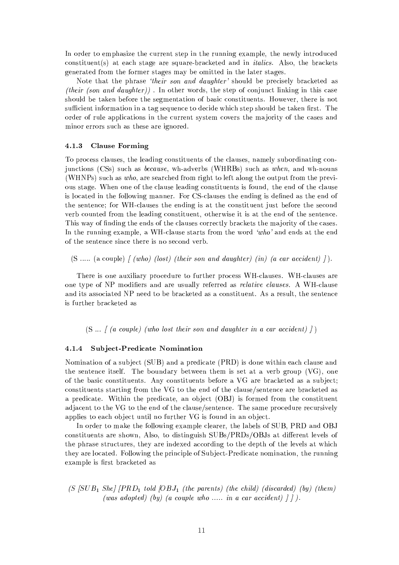-<sup>8</sup> @ 9 F @ 26 3+\* <sup>2</sup> \*B <sup>8</sup>> <sup>358</sup> <sup>2</sup> B8843584C ,6(+)3 <sup>2</sup> <sup>8</sup> A(+ <sup>358</sup>@49'B 9 constituent(s) of each stage are square breaksted and in italice. Also, the breakste  $\blacksquare$  . A constant of the constant of the constant of the constant of the constant of the constant of the constant of the constant of the constant of the constant of the constant of the constant of the constant of the co

Note that the phrase  $(h_{\alpha}$  can and developed abound be proceedy hospital as  $(fhein (con and downbm)$ . In other words, the stap of conjunct linking in this case. 24@&B (9 # 6):8 # @ <sup>2</sup> CO <sup>8</sup> <sup>6</sup> 3@&8 @ # <sup>6</sup> 3+ +@&8 <sup>3</sup> <sup>B</sup> <sup>8</sup> /0,@A& 3Z <sup>2</sup> <sup>3</sup> 84@  $\mathcal{P}$  and  $\mathcal{P}$  and  $\mathcal{P}$  and  $\mathcal{P}$  and  $\mathcal{P}$  and  $\mathcal{P}$  and  $\mathcal{P}$  and  $\mathcal{P}$  and  $\mathcal{P}$  $\blacksquare$  . A construction of the set of the set of the set of the set of the set of the set of the set of the set of the set of the set of the set of the set of the set of the set of the set of the set of the set of the set minor errors such as these are ignored.

### 4.1.3 Clause Forming

!@ @  ( 6!B 3M <sup>2</sup> (+ 693584CO+@&8 <sup>3</sup> <sup>B</sup> <sup>8</sup> @' <sup>2</sup>  ( 6!B 3 86D(+ <sup>B</sup> # @ 93586 384CO+@&8!-  $\mu$  innetions (CR<sub>a</sub>) such as because wh advents (WUDDs) such as when and wh noung  $\text{WUM}$ @&B F 6C / P2 <sup>8</sup> @&8 @' <sup>2</sup>  ( 6!B N(+ 693584CD+@48 <sup>3</sup> <sup>B</sup> <sup>8</sup> <sup>3</sup> @&B849 3L <sup>2</sup> N <sup>849</sup> @' <sup>2</sup>  ( 6!B <sup>3</sup>(@\*69 <sup>358</sup> <sup>2</sup> @(+(@A3584C 6!88 /eM@ 1!-% ( 6!B <sup>2</sup> @ 849358&C <sup>3</sup> 9 ;8 9:6 <sup>2</sup> @ 8&9 @' <sup>2</sup> D <sup>8</sup> 8 @ NP,-% ( 6!B <sup>2</sup> O 849384C73 <sup>6</sup> <sup>2</sup> +@&8 <sup>3</sup> <sup>B</sup> <sup>8</sup> <sup>B</sup> # @ D <sup>2</sup> O +@&849  $\mathcal{A}$  and  $\mathcal{A}$  and  $\mathcal{A}$  are all  $\mathcal{A}$  . In the set of the set of the set of the set of the set of the set of the set of the set of the set of the set of the set of the set of the set of the set of the set of !243 A6 @' ;8493584C <sup>2</sup> F 8&9 @' <sup>2</sup>  ( 6!B +@  (+D# 6;: <sup>2</sup> >6Z@ <sup>3</sup> @' <sup>2</sup> \*6 / In the currian concerter of WHI olones starts from the mord (whe) and ends of the end  $\alpha$  and  $\alpha$  and  $\alpha$  are a set of  $\alpha$  . The set of  $\alpha$  is a set of  $\alpha$  is a set of  $\alpha$ 

 $\mathcal{L}^{(s)}$  (a gaughe)  $\mathcal{L}^{(u,b)}$  (leat) (their same and daughter) (in) (a same sacidant) ()

 $\blacksquare$  . The set of the set of the set of the set of the set of the set of the set of the set of the set of the set of the set of the set of the set of the set of the set of the set of the set of the set of the set of the ang tung of ND modifiers and are usually referred as relative clauses. A WIII eleves and its associated NP need to be bracketed as a constituent. As a result, the sentence  $\cdot$  a discrete  $\cdot$  . The fig.  $\cdot$ 

 $\mathcal{L} = \left\{ \left( \text{c} \text{ count of } t, \text{d} \text{ is } t \right) \right\}$ 

#### 4.1.4 Subject-Predicate Nomination

@3586 3@48 @' A6 <sup>B</sup> #  1=6J8&9 <sup>6</sup> 93+\*6 0& <sup>3</sup> 9@&8 A3 <sup>24358</sup> 62 ( 6!B 6!849 <sup>2</sup> T <sup>8</sup> 8 <sup>3</sup> ( \$/ !2 K# @&B849'6 # A <sup>8</sup> <sup>2</sup> <sup>3</sup> <sup>6</sup> <sup>6</sup> & # <sup>C</sup> @&B <sup>3</sup> @&8  $\alpha$  . The first contract of the contract of the contract of the contract of the contract of the contract of the contract of the contract of the contract of the contract of the contract of the contract of the contract of  $\blacksquare$  . A lot  $\blacksquare$  . A dominate  $\blacksquare$  $\delta$  93  $\delta$  93  $\delta$  93  $\delta$  93  $\delta$  93  $\delta$  93  $\delta$  93  $\delta$  93  $\delta$  93  $\delta$  93  $\delta$  93  $\delta$  93  $\delta$  93  $\delta$  93  $\delta$  93  $\delta$  93  $\delta$  93  $\delta$  93  $\delta$  93  $\delta$  93  $\delta$  93  $\delta$  93  $\delta$  93  $\delta$  93  $\delta$  93  $\delta$  93  $\delta$  93  $\delta$   $\mathbf{a} \in \mathbb{R}^n$  , and a set of the set of the set of the set of the set of the set of the set of the set of the set of the set of the set of the set of the set of the set of the set of the set of the set of the set of  $\blacksquare$  . The set of the set of the set of the set of the set of the set of the set of the set of the set of the set of the set of the set of the set of the set of the set of the set of the set of the set of the set of the

t lot is all a little agent to the contract of the contract of the contract of the contract of the contract of the contract of the contract of the contract of the contract of the contract of the contract of the contract of constituents are shown, Also, to distinguish SUBs/PRDs/OBJs at different levels of <sup>2</sup> <sup>2</sup> <sup>6</sup> B <sup>B</sup> 3Z <sup>2</sup> <sup>6</sup> <sup>35849</sup> ,-9 6+@ 93584C @ <sup>2</sup> <sup>9</sup> 2 @' <sup>2</sup> (H&(+ <sup>6</sup> A243+2  $\mathcal{A}$  and  $\mathcal{A}$  is the set of  $\mathcal{A}$  and  $\mathcal{A}$  and  $\mathcal{A}$  and  $\mathcal{A}$  and  $\mathcal{A}$  and  $\mathcal{A}$  and  $\mathcal{A}$  and  $\mathcal{A}$  and  $\mathcal{A}$  and  $\mathcal{A}$  and  $\mathcal{A}$  and  $\mathcal{A}$  and  $\mathcal{A}$  and  $\mathcal{A}$  and  $\math$ example is first bracketed as

 $\mathcal{L}(\mathbf{S})$   $[\mathbf{S} \mathbf{H}]$   $[\mathbf{R} \mathbf{R}]$   $[\mathbf{R} \mathbf{R}]$   $[\mathbf{R} \mathbf{L}]$   $[\mathbf{R}]$   $[\mathbf{R}]$   $[\mathbf{R}]$   $[\mathbf{R}]$   $[\mathbf{R}]$   $[\mathbf{R}]$   $[\mathbf{R}]$   $[\mathbf{R}]$   $[\mathbf{R}]$   $[\mathbf{R}]$   $[\mathbf{R}]$   $[\mathbf{R}]$   $[\mathbf{R}]$   $[\mathbf{R}]$   $[\mathbf{R}]$   $[\mathbf{R}]$   $[\$  $(\text{one odd and } \text{b})$   $(\text{b})$   $(\text{a odd and } \text{c})$   $(\text{b})$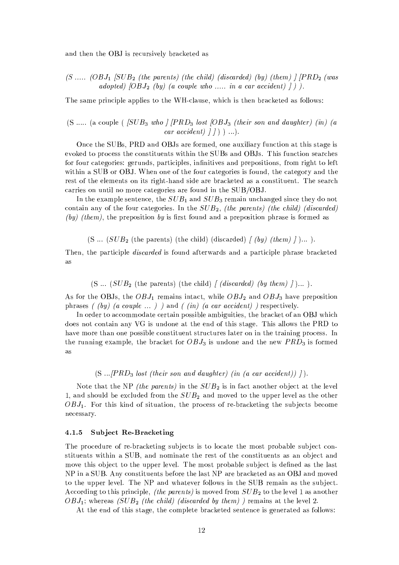and then the OBJ is recursively bracketed as

 $\overline{S} = \overline{S}$  (ORL,  $\overline{S}$  (the narents) (the child) (discarded) (hu) (them) [[PRD<sub>2</sub> (was  $adonted$   $\overline{ORL}$ ,  $(hu)$  (a couple who in a car accident)  $\overline{l}$ )

!2 @ <sup>6</sup>O 358+3 (H <sup>6</sup>( <sup>3</sup>> @ <sup>2</sup> @P,-% ( 6!B )3A243++2 <sup>3</sup> > <sup>2</sup> <sup>8</sup> # 6;:9:6 @(H( @A

 1S/5/5/5/5/F
6D+@&B (+ - -- C \$G " E G - - E%, "B, "- $\{a_n, a_n; J_{n+1} \}$   $\{ \}$   $\}$   $\}$ 

. المساوي المساوي المساوي المستشفر المستشفر المستشفر المستشفر المستشفر المستشفر المستشفر المستشفر المستشفر المستشفر &!@-:9 @ @ <sup>2</sup> +@48 <sup>3</sup> <sup>B</sup> <sup>8</sup> A3 <sup>24358</sup> <sup>2</sup> <sup>1</sup>= 6!849 ?< / !243 B8 3@&8 <sup>6</sup> <sup>2</sup> @ @&B \*6C!@ <sup>3</sup> <sup>C</sup> B84973 <sup>6</sup> 3++3 (+ 3 358);843 3+& 6!849 @ <sup>3</sup> 3@&8 73 @ 3C42 @ (+  $\sim$  . A  $\sim$  . A set of a set of a set of a set of a set of a set of a set of a set of a set of a set of a set of a set of a set of a set of a set of a set of a set of a set of a set of a set of a set of a set of a set o @' <sup>2</sup> (H D <sup>8</sup> @&8 <sup>3</sup> 3C&2 -.26!849 39 <sup>6</sup> # 6;:9 <sup>6</sup> 6O+@&8 <sup>3</sup> <sup>B</sup> <sup>8</sup> /! <sup>2</sup> @ <sup>6</sup> <sup>2</sup> 6 <sup>3</sup> @48 B8 <sup>3</sup> ( 84@ @ \*6C!@ <sup>3</sup> <sup>6</sup> @&B849 <sup>358</sup> <sup>2</sup> <sup>1</sup>=)?<'/

In the example sentence, the  $SI/R$ , and  $SI/R$  remain unchanged since they do not contain any of the four catogories. In the  $SI/B_2$  (the narents) (the child) (discarded)  $\overline{A}$  )  $\overline{A}$  and  $\overline{A}$  are  $\overline{A}$  and  $\overline{A}$  . The set of the set of the set of the set of the set of the set of the set of the set of the set of the set of the set of the set of the set of the set of the se ,

- <sup>1</sup> /5/5/ <sup>2</sup> <sup>6</sup> <sup>8</sup> <sup>2</sup> <sup>243</sup>(9Z 93 \*69 9Z /5/5/I+/ - " , " E,

Then the contiguity Hospital is found oftenmode and a contiguity choose begateted as

 $\mathcal{L}(\mathbf{S} = (STR_2, (the \text{parent}) (the \text{child}) (discarded) (but them)))$ 

As for the ORIs, the ORL remains intact, while ORL and ORL have preposition  $\mathcal{L}$  (b)  $\mathcal{L}$   $\mathcal{L}$   $\mathcal{L}$   $\mathcal{L}$   $\mathcal{L}$   $\mathcal{L}$   $\mathcal{L}$   $\mathcal{L}$   $\mathcal{L}$   $\mathcal{L}$   $\mathcal{L}$   $\mathcal{L}$   $\mathcal{L}$   $\mathcal{L}$   $\mathcal{L}$   $\mathcal{L}$   $\mathcal{L}$   $\mathcal{L}$   $\mathcal{L}$   $\mathcal{L}$   $\mathcal{L}$   $\mathcal{L}$   $\mathcal{L}$ 

the running example the bracket for  $ORI_2$  is underested the new  $PRD_2$  is formed -<sup>8</sup> @ 9 @ 6+@@49'6  <sup>6358</sup> @ <sup>3</sup>#(+ <sup>6</sup>#3C4B43 <sup>3</sup>73M <sup>2</sup> F# 6;: @' 6!8 ?< A243+2 9@ 84@ +@&8 6358:6!8 <sup>3</sup> B849@&8 <sup>6</sup> <sup>2</sup> 8497@' <sup>243</sup> 6C /! <sup>243</sup> <sup>6</sup>(+(@A <sup>2</sup> 0%
G @  $2$  67  $\pm$  67  $\pm$  67  $\pm$  67  $\pm$  67  $\pm$  67  $\pm$  67  $\pm$  67  $\pm$  67  $\pm$  67  $\pm$  67  $\pm$  67  $\pm$  67  $\pm$  67  $\pm$  67  $\pm$  67  $\pm$  67  $\pm$  67  $\pm$  67  $\pm$  67  $\pm$  67  $\pm$  67  $\pm$  67  $\pm$  67  $\pm$  67  $\pm$  67  $\pm$  67  $\pm$  6 as

 $(S - IPRD<sub>s</sub>$  lost (their son and daughter) (in (a car accident)) ()

Note that the NP *(the narente)* in the  $SIPR_2$  is in fact another object at the level 1, and should be excluded from the  $SI/R_s$  and moved to the upper level as the other  $ORL$ . For this kind of situation, the process of re-bracketing the subjects become necessary.

#### 4.1.5 Subject Re-Bracketing

According to this principle *(the narents)* is moved from  $SI/R_2$  to the level 1 as another  $ORL$ , whereas  $(SIR_2$  (the child) (discarded by them)) ramains at the layel 2 !2 @ 9'B @ - # 6;: 3584C <sup>B</sup> #  <sup>3</sup> @ (@\*6 <sup>2</sup> @D@ # <sup>6</sup>#(+ <sup>B</sup> #  +@&8!- <sup>3</sup> <sup>B</sup> <sup>8</sup> A3 <sup>2438</sup> <sup>6</sup> <sup>1</sup>= <sup>3</sup> 6!849R84@3586 <sup>2</sup> @' <sup>2</sup> +@48 <sup>3</sup> <sup>B</sup> <sup>8</sup> <sup>6</sup> 6J8 @ #  6J849 move this object to the upper level. The most probable subject is defined as the last 0 <sup>358</sup> <sup>6</sup> <sup>1</sup>= / 8 +@&8 <sup>3</sup> <sup>B</sup> <sup>8</sup> # @ Q <sup>2</sup> Q( <sup>6</sup>& <sup>0</sup> <sup>6</sup># 6;:9 <sup>6</sup> 6!8D?<06J849 @&9  $\alpha$  . The contract of the contract of the contract of the contract of the contract of the contract of the contract of the contract of the contract of the contract of the contract of the contract of the contract of the co

 $\pm$  2  $\pm$  3  $\pm$  3  $\pm$  3  $\pm$  3  $\pm$  3  $\pm$  3  $\pm$  3  $\pm$  3  $\pm$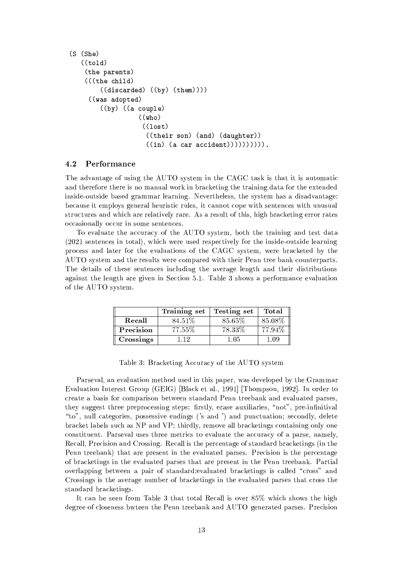```

	

      ((\text{tol})(the parents)
        (((the child)((discarded) ((by) (then))))"1!2"

                  (\text{by}) ((a \text{ couple})((who)"6!
.

                                               \overline{a} , \overline{a} , \overline{a} , \overline{a} , \overline{a} , \overline{a} , \overline{a} , \overline{a} , \overline{a} , \overline{a} , \overline{a} , \overline{a} , \overline{a} , \overline{a} , \overline{a} , \overline{a} , \overline{a} , \overline{a} , \overline{a} , \overline{a} , ((in) (a car accident))))))))))).
```
#### 4.2 Performance

!2 69&6!8 6C @ HB 384C <sup>2</sup> =!? <sup>358</sup> <sup>2</sup> <sup>6</sup> : <sup>3</sup> @ 26 <sup>3</sup> <sup>3</sup> 6!B @6 3+ 6!849 <sup>2</sup> @ <sup>2</sup> <sup>3</sup> 84@ 6!8&B6(MA@ : <sup>358</sup> #6;: 3584C <sup>2</sup> F 635843584C 9'6 6 @ <sup>2</sup> ,- <sup>849</sup> 9 inside-outside based grammar learning. Nevertheless, the system has a disadvantage:  $\bullet$  6  $\bullet$  6  $\bullet$  6  $\bullet$  6  $\bullet$  6  $\bullet$  6  $\bullet$  6  $\bullet$  6  $\bullet$  6  $\bullet$  6  $\bullet$  6  $\bullet$  6  $\bullet$  6  $\bullet$  6  $\bullet$  6  $\bullet$  6  $\bullet$  6  $\bullet$  6  $\bullet$  6  $\bullet$  6  $\bullet$  6  $\bullet$  6  $\bullet$  6  $\bullet$  6  $\bullet$  6  $\bullet$  6  $\bullet$  6  $\bullet$  6  $\bullet$  6  $\bullet$  6  $\bullet$  6  $\bullet$  B <sup>B</sup> 6!849 A243+2 <sup>6</sup>>( <sup>6</sup> 3+&(+D <sup>6</sup> / <sup>6</sup> <sup>B</sup> (+ @' <sup>243</sup>73 243C&2 #6;: 384C @ <sup>6</sup> occasionally occur in some sentences.

!@ &6(B6 <sup>2</sup> 6[\*B <sup>6</sup> @' <sup>2</sup> >= !? 3I# @ <sup>2</sup> <sup>2</sup> 63843584CS6!849 9'6 <sup>6</sup>  $8.88 \pm 0.000$  and  $8.84 \pm 0.000$  and  $8.84 \pm 0.000$  and  $8.9 \pm 0.000$  and  $8.9 \pm 0.000$  and  $8.9 \pm 0.000$ M@ 6!849 ( <sup>6</sup> @ <sup>2</sup> K&6( B6 3@&8 @' <sup>2</sup> > - T3 AQ # 6[;:9 #)\$ <sup>2</sup> >= !? - 6!849 <sup>2</sup> <sup>B</sup> (+ A +@ <sup>6</sup>9 A3 <sup>2</sup> <sup>2</sup> <sup>3</sup> 0L 88 # 6!8: +@&B8 <sup>6</sup> / !2 <sup>9</sup> <sup>63</sup> (+ @' <sup>2</sup> <sup>8</sup> 8 358- ( B49358 <sup>C</sup> <sup>2</sup> 6 & 6CK(+ 84C <sup>2</sup> 6!849 <sup>2</sup> <sup>3</sup> 93 <sup>3</sup> # <sup>B</sup> 3@&8 6C&6358 @ <sup>2</sup> D(+ 84C <sup>2</sup> <sup>6</sup> C!3H& <sup>8</sup> <sup>358</sup> <sup>1</sup>  3@&8 / <sup>4</sup> / !-6#(+ 24@A <sup>6</sup> @ 6!8 D&6( B6 3@&8  $\alpha$  and  $\alpha$  . The contract of  $\alpha$  and  $\alpha$  and  $\alpha$  and  $\alpha$  and  $\alpha$  and  $\alpha$  and  $\alpha$  and  $\alpha$  and  $\alpha$  and  $\alpha$  and  $\alpha$  and  $\alpha$  and  $\alpha$  and  $\alpha$  and  $\alpha$  and  $\alpha$  and  $\alpha$  and  $\alpha$  and  $\alpha$  and  $\alpha$  and  $\alpha$  and

|           | Training set | Testing set | Total  |
|-----------|--------------|-------------|--------|
| Recall    | 84.51\%      | 85.65%      | 85.08% |
| Precision | 77.55%       | 78.33%      | 77.94% |
| Crossings |              | $\cdot .05$ | 1.09   |

 $\blacksquare$  . The set of the set of  $\blacksquare$  . The set of  $\blacksquare$ 

Parseval, an evaluation method used in this paper, was developed by the Grammar &6(B6 3@48`-<sup>8</sup> @&B #- .( 6;: <sup>6</sup>( / 354 6E649F.!24@@48 <sup>3</sup> 476)6)89 / -<sup>8</sup> @ 9 F @ <sup>6</sup> <sup>6</sup> # <sup>6</sup> <sup>3</sup> @ +@ <sup>6</sup> <sup>3</sup> @48 # AQ <sup>8</sup> 6!849'69 0L 88 # 6J8: 6!849 &6(B69 <sup>6</sup> 3  $2$  or  $3$  or  $3$  or  $3$  ,  $3$  ,  $3$  ,  $3$  ,  $3$  ,  $3$  ,  $3$  ,  $3$  ,  $3$  ,  $3$  ,  $3$  $\omega$  and the set of the set of the set of the set of the set of the set of the set of the set of the set of the set of the set of the set of the set of the set of the set of the set of the set of the set of the set of the #M 6;: ( <sup>6</sup># (+ B2 <sup>6</sup> <sup>0</sup> 6J849 <sup>0</sup> <sup>243</sup> 9 (HE3Z @'& <sup>6</sup>(+( # 6[;: 3584C +@&8 63584384C @48 (H @&8  $\blacksquare$  $-$  1  $-$  1  $\alpha$  1  $-$  1  $-$  1  $-$  1  $-$  1  $-$  1  $-$  1  $-$  1  $-$  1  $-$  1  $-$  1  $-$  1  $-$  1  $-$  1  $-$  1  $-$  1  $-$  1  $-$  1  $-$  1  $-$  1  $-$  1  $-$  1  $-$  1  $-$  1  $-$  1  $-$  1  $-$  1  $-$  1  $-$  1  $-$  1  $-$  1  $-$  1  $-$  1  $-$  1  $\blacksquare$  . The first state of the first state of  $\blacksquare$  . The first state of  $\blacksquare$  . The first state of  $\blacksquare$ @' #M 6;: 3584C <sup>358</sup> <sup>2</sup> &6( B69 <sup>6</sup> 26 <sup>6</sup> ; <sup>8</sup> <sup>358</sup> <sup>2</sup> 02 88 # 6!8:M/ 06 <sup>356</sup>( @'& ( <sup>6</sup>3584C # A <sup>8</sup> <sup>6</sup> <sup>63</sup> @' 6!849'69 &6( B69 #6[;: 3584C <sup>3</sup> \*6(+(+9  @ 6J849  $\alpha$  3584C 384 C 384 C 384 C 384 C 384 C 384 C 384 C 384 C 384 C 384 C 3884C 38 C 3884C 38 C 3884C 38 C 3884C 3884C 3884C 3884C 3884C 3884C 3884C 3884C 3884C 3884C 3884C 3884C 3884C 3884C 3884C 3884C 3884C 3884C 3884C 388 6!849'69 # 6;: 3584C /

المقاطر المقاطر المركز الأسراف المقاطر المقاطر المقاطر المقاطر المقاطر المقاطر المقاطر المقاطر المقاطر المقاطر<br>المقاطر المقاطر المقاطر المقاطر المقاطر المقاطر المقاطر المقاطر المقاطر المقاطر المقاطر المقاطر المقاطر المقا <sup>9</sup>C @' <sup>I</sup> (@ <sup>8</sup> >#)A <sup>8</sup> <sup>2</sup> 0L 88 # 6!8: 6!849 >= !?`C <sup>8</sup> <sup>6</sup>9 <sup>6</sup> / <sup>0</sup> +3 3@&8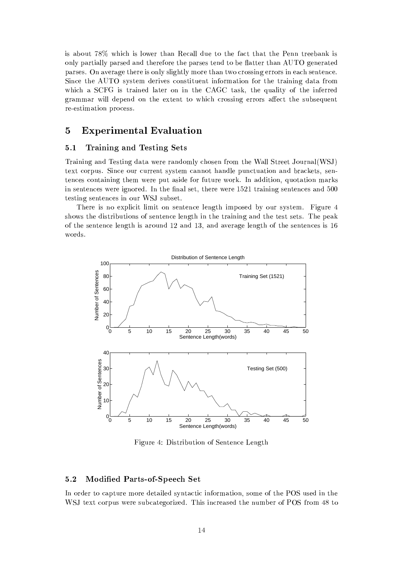$\overline{a}$  , and  $\overline{a}$  , and  $\overline{a}$  and  $\overline{a}$  and  $\overline{a}$  from  $\overline{a}$  . The function  $\overline{a}$  $\qquad \qquad \bullet$  . The set of the set of the set of the set of the set of the set of the set of the set of the set of the set of the set of the set of the set of the set of the set of the set of the set of the set of the set of parses. On average there is only slightly more than two crossing errors in each sentence. 1&358 <sup>2</sup> >= !? - <sup>9</sup> 3H& +@&8 <sup>3</sup> <sup>B</sup> <sup>8</sup> 358) @ 6 3@&8 @ 2 6358&3584CS9'6 <sup>6</sup> @ A243H2 <sup>6</sup> 1
 <sup>3</sup>K <sup>6358</sup> 9 ( <sup>6</sup> @&8 <sup>358</sup> <sup>2</sup> > <sup>6</sup> : 3 <sup>2</sup> !B6( <sup>3</sup> @' <sup>2</sup> 38) 9 grammar will depend on the extent to which crossing errors affect the subsequent re-estimation process.

## 5 Experimental Evaluation

### 5.1 Training and Testing Sets

! 63584358&C 6!849K! 384C 9'6 <sup>6</sup> A 6J849@D(+ 24@ 8 @G <sup>2</sup> P6(H( <sup>1</sup> <!@&B 86( P14< ,--  $\sim$  8N-  $\sim$  3N-  $\sim$  3.8458 (+O B8 6.849  $\sim$  6.849  $\sim$  6.849  $\sim$  6.849  $\sim$  6.849  $\sim$  6.849  $\sim$  6.849  $\sim$  6.849  $\sim$  6.849  $\sim$  6.849  $\sim$  6.849  $\sim$  6.849  $\sim$  6.849  $\sim$  6.849  $\sim$  6.849  $\sim$  6.849  $\sim$  6.84  $\overline{3}$  , and 3C&84  $\overline{3}$  , and 3C  $\overline{3}$  , and 3C  $\overline{3}$  , and 3C  $\overline{3}$  , and 3C  $\overline{3}$  , and 3C  $\overline{3}$  , and 3C  $\overline{3}$  , and 3C  $\overline{3}$  , and 3C  $\overline{3}$  , and 3C  $\overline{3}$  , and 3C  $\overline{3}$  , and 3C  $\$  $\sim$  358  $\sim$  358  $\sim$  358  $\sim$  358  $\sim$  358  $\sim$  358  $\sim$  358  $\sim$  358  $\sim$  358  $\sim$  358  $\sim$  358  $\sim$  358  $\sim$  358  $\sim$  358  $\sim$  358  $\sim$  358  $\sim$  358  $\sim$  358  $\sim$  358  $\sim$  358  $\sim$  358  $\sim$  358  $\sim$  358  $\sim$  358  $\sim$ 

There is no explicit limit on sentence length imposed by our system. Figure 4  $24.99\pm 0.000$  3  $24.9\pm 0.000$  3  $24.9\pm 0.000$  3  $24.9\pm 0.000$  3  $24.9\pm 0.000$  3  $24.9\pm 0.000$  3  $24.9\pm 0.000$  $\alpha$  , and a set of the set of the set of the set of the set of the set of the set of the set of the set of the set of the set of the set of the set of the set of the set of the set of the set of the set of the set of the words.



A3C&B 3 <sup>3</sup> #B 3@48 @' <sup>1</sup> <sup>8</sup> 8 # 84C <sup>2</sup>

### $\mathcal{L}$  as under  $\mathcal{L}$  and  $\mathcal{L}$

-<sup>8</sup> @ 9 @O\*6 <sup>B</sup> @ <sup>9</sup> <sup>63</sup> (+9 <sup>8</sup> <sup>6</sup> 3+ 358) @ 6 3@&8 <sup>3</sup> @D @' <sup>2</sup> 0?1 <sup>B</sup> 9 <sup>358</sup> <sup>2</sup> P14< , +@ <sup>B</sup> >A <sup>B</sup> # \*6CJ@ 3+\* 9 /Q!243 358 <sup>6</sup>9 <sup>2</sup> 8&B# @' 0?1 @ (O @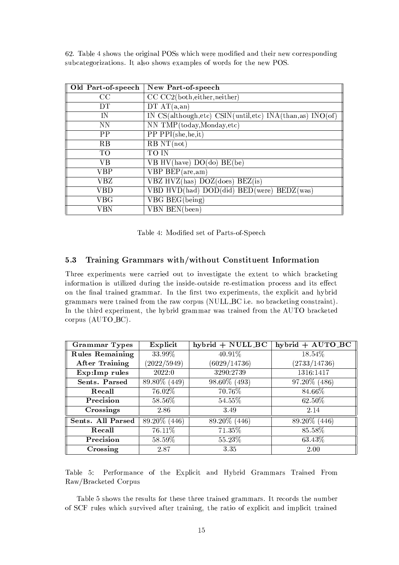<sup>8</sup> /2!-6#(H 24@A <sup>2</sup> @ 3C!3586( 0?1 A243+2 A >@ 93 9 6!849 <sup>2</sup> <sup>3</sup> <sup>8</sup> A +@ @&8493 84C  $\blacksquare$  . The set of the set of the set of the set of the set of the set of the set of the set of the set of the set of the set of the set of the set of the set of the set of the set of the set of the set of the set of the

| Old Part-of-speech | New Part-of-speech                                                  |
|--------------------|---------------------------------------------------------------------|
| CC                 | CC CC2(both, either, neither)                                       |
| DT                 | DTAT(a, an)                                                         |
| IN                 | IN $CS(although, etc)$ $CSIN(until, etc)$ $INA(than, as)$ $INO(of)$ |
| NN                 | NN TMP(today, Monday, etc)                                          |
| PP                 | PP PPI(she, he, it)                                                 |
| RB                 | $RB\ N\mathrm{T}(\mathrm{not})$                                     |
| TO                 | TO IN                                                               |
| VВ                 | VB HV(have) $DO(do) BE(be)$                                         |
| <b>VBP</b>         | VBP $BEP(are, am)$                                                  |
| <b>VBZ</b>         | VBZ $HVZ(has) DOZ(does) BEZ(is)$                                    |
| VBD                | VBD HVD(had) DOD(did) BED(were) BEDZ(was)                           |
| <b>VBG</b>         | VBG BEG(being)                                                      |
| $_{\rm VBN}$       | VBN BEN(been)                                                       |

!-6#(+ @493 9 @' 06 - @' -.1 <sup>2</sup>

### het and the sound to the contract of the contract of the contract of the contract of the contract of the contract of the contract of the contract of the contract of the contract of the contract of the contract of the contr

Three experiments were carried out to investigate the extent to which bracketing 38) @ 6 3@&8 <sup>3</sup> B <sup>3</sup> ( 3H\* 9 9'B 3584C <sup>2</sup> <sup>358</sup> <sup>39</sup> -Z@&B <sup>39</sup> - <sup>3</sup>6 3@48 @ 6!849 <sup>3</sup> O  @&8 <sup>2</sup> ;86( <sup>6358</sup> 9 <sup>C</sup> 66 /`-<sup>8</sup> <sup>2</sup> A@ , <sup>3</sup>D <sup>8</sup> 3I <sup>2</sup> ,M( 3++3 6J849R2# 39  $\blacksquare$  . The set of the set of the set of the set of the set of the set of the set of the set of the set of the set of the set of the set of the set of the set of the set of the set of the set of the set of the set of the -<sup>8</sup> <sup>2</sup> <sup>243</sup> 9 ,M <sup>3</sup>O873 <sup>2</sup> <sup>2</sup># 39:C <sup>6</sup>6>A6 <sup>6358</sup> 9 @ <sup>2</sup> >= !? # 6;:9  $corpus$  (AUTO  $BC$ ).

| Grammar Types            | Explicit      | $hybrid + NULL BC$ | hybrid $+$ AUTO_BC |
|--------------------------|---------------|--------------------|--------------------|
| <b>Rules Remaining</b>   | $33.99\%$     | 40.91\%            | 18.54\%            |
| After Training           | (2022/5949)   | (6029/14736)       | (2733/14736)       |
| Exp:Imp rules            | 2022:0        | 3290:2739          | 1316:1417          |
| Sents. Parsed            | 89.80\% (449) | $98.60\%$ (493)    | 97.20\% (486)      |
| Recall                   | 76.02%        | 70.76%             | $84.66\%$          |
| Precision                | 58.56%        | 54.55%             | 62.50%             |
| Crossings                | 2.86          | 3.49               | 2.14               |
| <b>Sents. All Parsed</b> | 89.20\% (446) | 89.20\% (446)      | 89.20% (446)       |
| Recall                   | 76.11\%       | 71.35%             | 85.58%             |
| Precision                | $58.59\%$     | 55.23%             | 63.43%             |
| Crossing                 | 2.87          | 3.35               | 2.00               |

!-6#(+ 0L  $\alpha$  , and  $\alpha$  , and  $\alpha$  is the set of  $\alpha$  in the set of  $\alpha$  is a set of  $\alpha$  is a set of  $\alpha$  is a set of  $\alpha$  is a set of  $\alpha$  is a set of  $\alpha$  is a set of  $\alpha$  is a set of  $\alpha$  is a set of  $\alpha$  is a set of  $\alpha$  is Raw/Bracketed Corpus

!-<sup>6</sup>#(+ 24@AQ <sup>2</sup> N <sup>B</sup> (+ @ <sup>2</sup> <sup>2</sup> <sup>638</sup> 9 <sup>C</sup> <sup>6</sup>6 / - F +@ 9 <sup>2</sup> 8&BD# @' 1
 <sup>B</sup> (+
A243+2 <sup>B</sup> &&3+&9 <sup>6</sup> N 63584384C <sup>3</sup> 2 6 3@:@' ,M( 3++3 6!849W3( 3++3 <sup>6358</sup> 9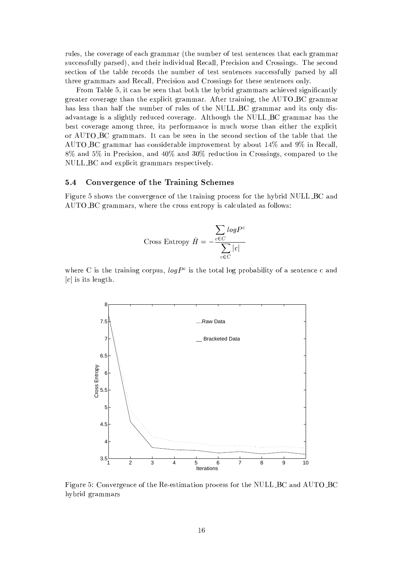<sup>B</sup> (H73M <sup>2</sup> +@'& 6C @' 62 <sup>C</sup> 66 <sup>2</sup> 8&B# @' Q <sup>8</sup> 8 26Q 62 <sup>C</sup> <sup>6</sup>6  $\blacksquare$  and the state of the state of the state of the state of the state of the state of the state of the state of the state of the state of the state of the state of the state of the state of the state of the state of th  $\alpha$  and  $\alpha$  are the finite of the finite of the finite of the finite of the finite of the finite of the finite of the finite of the finite of the finite of the finite of the finite of the finite of the finite of the fin  $\blacksquare$  . The state of the state of the state of the state of the state of the state of the state of the state of the state of the state of the state of the state of the state of the state of the state of the state of the

@ !-<sup>6</sup>#(+3 <sup>3</sup> \*6!8 #Z> <sup>8</sup> 26Q# @ <sup>2</sup> <sup>2</sup> <sup>2</sup># 39 <sup>C</sup> <sup>6</sup>6 6243 &9 3C&843\*6!8(+  $\blacksquare$  . The contract of the contract of the contract of the contract of the contract of the contract of the contract of the contract of the contract of the contract of the contract of the contract of the contract of the <sup>2</sup> <sup>6</sup>D(+D <sup>2</sup> 6J8 26( <sup>2</sup> 8&B# @' <sup>B</sup> (+ @ <sup>2</sup>R=s UC <sup>6</sup>6 6!849 <sup>3</sup> @&8 (H 93 advantage is a slightly reduced coverage. Although the NULL\_BC grammar has the  $+$  . A set of the set of the set of the set of the set of the set of the set of the set of the set of the set of the set of the set of the set of the set of the set of the set of the set of the set of the set of the set  $\blacksquare$  . The set of the set of the set of the set of the set of the set of the set of the set of the set of the set of the set of the set of the set of the set of the set of the set of the set of the set of the set of the  $\sim$  . The set of the set of the set of the set of the set of the set of the set of the set of the set of the set of the set of the set of the set of the set of the set of the set of the set of the set of the set of the s  $\sim$  349  $\sim$  349  $\sim$  349  $\sim$  349  $\sim$  359  $\sim$  3584.  $\sim$  5494.  $\sim$  3584.  $\sim$  3584.  $\sim$  3584.  $\sim$  3584.  $\sim$  3584.  $\sim$  3584.  $\sim$  3584.  $\sim$  3584.  $\sim$  3584.  $\sim$  3584.  $\sim$  3584.  $\sim$  3584.  $\sim$  3584.  $\sim$  3584. NULL\_BC and explicit grammars respectively.

### hL opgjThyzS i:ehS T3C]S <sup>g</sup> R:kWS &i tv[ TV[ TMe <sup>C</sup>kVS8l1S Z

3C&B 24@A <sup>2</sup> +@&8)& C 8 @ <sup>2</sup> 635843584C @M @ <sup>2</sup> <sup>2</sup>M# 39 =so 6!849  $\alpha$  . The set of the set of the set of the set of the set of the set of the set of the set of the set of the set of the set of the set of the set of the set of the set of the set of the set of the set of the set of the s

$$
\text{Cross Entropy }\hat{H} = -\frac{\displaystyle\sum_{c \in C} log P^c}{\displaystyle\sum_{c \in C} |c|}
$$

where C is the training corpus,  $log P<sup>c</sup>$  is the total log probability of a sentence c and  $\lambda$  is its langether  $\lambda$ 



3C&B @&8)& C 8 @' <sup>2</sup> Q- <sup>3</sup>6 3@&8 @ @ <sup>2</sup> =s 6!849 >= !? hybrid grammars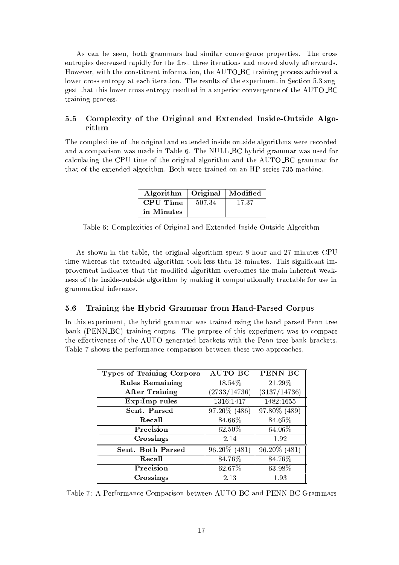$\mathbb{R}^n$  . The set of the set of the set of the set of the set of the set of the set of the set of the set of the set of the set of the set of the set of the set of the set of the set of the set of the set of the set of  $8 \times 8$  . The 3 decree state of the 3 decree state of the 3 decree state of the 3 decree state of the 3 decree state of the 3 decree state of the 3 decree state of the 3 decree state of the 3 decree state of the 3 decree ,@A& 3EA3 <sup>2</sup> <sup>2</sup> +@&8 <sup>3</sup> <sup>B</sup> <sup>8</sup> 358) @ 6 3@&8 3E <sup>2</sup> F=!>? 63843584C @ 6243 &9 <sup>6</sup>  $\blacksquare$  . The set of the set of the set of the set of the set of the set of the set of the set of the set of the set of the set of the set of the set of the set of the set of the set of the set of the set of the set of the  $\blacksquare$  . The set of the set of the set of the set of the set of the set of the set of the set of the set of the set of the set of the set of the set of the set of the set of the set of the set of the set of the set of the  $\mathcal{A}^{\mathcal{A}}$  , and  $\mathcal{A}^{\mathcal{A}}$  are defined by  $\mathcal{A}^{\mathcal{A}}$  and  $\mathcal{A}^{\mathcal{A}}$  and  $\mathcal{A}^{\mathcal{A}}$  are defined by  $\mathcal{A}^{\mathcal{A}}$ 

### hL opgjl1{Wc(S]PV[fR <sup>g</sup> R:kWS ^`i6[nez[(TVtDc tvTWU OQPMR6S TVUWS U XTWZ\$[(UVS]\ ^`\_R:Z\$[(UVS1acnehgD\ rithm

!2 +@(+,3 <sup>3</sup> @' <sup>2</sup> @ 3C!3586( 6!849 ,- <sup>849</sup> 9 <sup>3</sup> <sup>8</sup> <sup>359</sup> - @&B 39 <sup>6</sup>(C!@ <sup>3</sup> <sup>2</sup>D A +@ 9 9 6!849 <sup>6</sup> +@ <sup>6</sup> <sup>3</sup>@&8 A669 38!6#(H / ! <sup>2</sup> ,=s <sup>2</sup>M# 39 <sup>C</sup> <sup>6</sup>6 A6 <sup>B</sup> 9 @ 6(\*B ( <sup>6</sup> 384C <sup>2</sup> <sup>0</sup> =B <sup>3</sup>D @' <sup>2</sup> @ 3C!3586( <sup>6</sup>(C!@ <sup>3</sup> <sup>2</sup> 6!849 <sup>2</sup> D>= !? <sup>C</sup> 66 @ 26 @ <sup>2</sup> @, <sup>849</sup> 9:6(C!@ <sup>3</sup> <sup>2</sup> / @ <sup>2</sup> A @ <sup>6358</sup> 9 @&876!8 , 0\$ <sup>3</sup> 624358 /

| Algorithm $\vert$ Original $\vert$ Modified |        |       |
|---------------------------------------------|--------|-------|
| CPU Time                                    | 507.34 | 17.37 |
| in Minutes                                  |        |       |

!-<sup>6</sup>#(+ H@(+,3 <sup>3</sup> @ ? 3C!358 <sup>6</sup>( 6!849 ,- <sup>849</sup> 9 -<sup>8</sup> <sup>39</sup> -?B <sup>39</sup> (C!@ <sup>3</sup> <sup>2</sup>

 24@A8a38 <sup>2</sup> D6#(+)32 <sup>2</sup> @ 3C!386( <sup>6</sup>(C!@ <sup>3</sup> <sup>2</sup> <sup>8</sup>#( 24@&B 6!849 8)T358&B 0=  $\overline{1}$  ,  $\overline{1}$  ,  $\overline{1}$  ,  $\overline{1}$  ,  $\overline{1}$  ,  $\overline{1}$  ,  $\overline{1}$  ,  $\overline{1}$  ,  $\overline{1}$  ,  $\overline{1}$  ,  $\overline{1}$  ,  $\overline{1}$  ,  $\overline{1}$  ,  $\overline{1}$  ,  $\overline{1}$  ,  $\overline{1}$  ,  $\overline{1}$  ,  $\overline{1}$  ,  $\overline{1}$  ,  $\overline{1}$  , provement indicates that the modified algorithm overcomes the main inherent weak-8 @' <sup>2</sup> <sup>358</sup> <sup>39</sup> - @4B 39 <sup>6</sup>(C!@ <sup>3</sup> <sup>2</sup> #)6):J358&C <sup>3</sup> +@ <sup>B</sup> <sup>6</sup> 3@&86(+(H <sup>6</sup> <sup>6</sup>#(H @ <sup>B</sup> <sup>3</sup> <sup>8</sup>  $\mathcal{L}$  and  $\mathcal{L}$  and  $\mathcal{L}$  and  $\mathcal{L}$  and  $\mathcal{L}$  and  $\mathcal{L}$  and  $\mathcal{L}$  and  $\mathcal{L}$  and  $\mathcal{L}$  and  $\mathcal{L}$  and  $\mathcal{L}$  and  $\mathcal{L}$  and  $\mathcal{L}$  and  $\mathcal{L}$  and  $\mathcal{L}$  and  $\mathcal{L}$  and  $\mathcal{L}$  and

### 5.6 Training the Hybrid Grammar from Hand-Parsed Corpus

-<sup>8</sup> <sup>243</sup> F, J <sup>3</sup>O <sup>8</sup> 3 <sup>2</sup> <sup>2</sup># 39 <sup>C</sup> <sup>6</sup>6 A6F <sup>6358</sup>97B 384C <sup>2</sup> 26!849&- <sup>6</sup>9 0L 88  $\sim$  0.000  $\pm$  0.000  $\pm$  0.000  $\pm$  0.000  $\pm$  0.000  $\pm$  0.000  $\pm$  0.000  $\pm$  0.000  $\pm$  0.000  $\pm$  0.000  $\pm$  0.000  $\pm$  0.000  $\pm$  0.000  $\pm$  0.000  $\pm$  0.000  $\pm$  0.000  $\pm$  0.000  $\pm$  0.000  $\pm$  0.000  $\pm$  0.000  $\alpha$  5  $\alpha$  6  $\alpha$  ,  $\alpha$  8  $\alpha$  69  $\alpha$  69  $\alpha$  69  $\alpha$  6.  $\alpha$  69  $\alpha$  6.  $\alpha$  6.  $\alpha$  6.  $\alpha$  6.  $\alpha$  6.  $\alpha$  6.  $\alpha$  6.  $\alpha$  6.  $\alpha$  6.  $\alpha$  6.  $\alpha$  6.  $\alpha$  6.  $\alpha$  6.  $\alpha$  6.  $\alpha$  6.  $\alpha$  6.  $\alpha$  6.  $\alpha$  6.  $\alpha$  6. !-<sup>6</sup>#(+#D 24@A <sup>2</sup> @ 6!8 +@ <sup>6</sup> <sup>3</sup> @48 # A <sup>8</sup> <sup>2</sup> @A@ <sup>6</sup>@&62 /

| Types of Training Corpora | AUTO_BC         | PENN_BC         |
|---------------------------|-----------------|-----------------|
| <b>Rules Remaining</b>    | 18.54\%         | 21.29%          |
| After Training            | (2733/14736)    | (3137/14736)    |
| Exp:Imp rules             | 1316:1417       | 1482:1655       |
| Sent. Parsed              | $97.20\%$ (486) | 97.80% (489)    |
| Recall                    | 84.66%          | 84.65%          |
| Precision                 | 62.50%          | 64.06%          |
| Crossings                 | 2.14            | 1.92            |
| <b>Sent. Both Parsed</b>  | $96.20\%$ (481) | $96.20\%$ (481) |
| Recall                    | 84.76%          | 84.76%          |
| Precision                 | 62.67%          | 63.98%          |
| Crossings                 | 2.13            | 1.93            |

!-6#(+ 02 @ 6!8 @ <sup>6</sup> <sup>3</sup> @48 # A <sup>8</sup> = !? 6!849 0&%' <sup>6</sup>6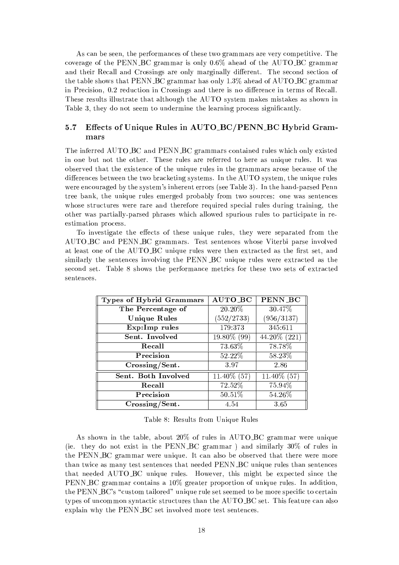$\mathbf{A}$  , and a set of  $\mathbf{A}$  and a set of  $\mathbf{A}$  . The set of  $\mathbf{A}$  is a set of  $\mathbf{A}$  is a set of  $\mathbf{A}$  is a set of  $\mathbf{A}$  is a set of  $\mathbf{A}$  is a set of  $\mathbf{A}$  is a set of  $\mathbf{A}$  is a set of  $\mathbf{A$ @& 6C @ <sup>2</sup> 0&&' <sup>C</sup> <sup>6</sup>6 <sup>3</sup> @&8 (+U / 6J2 69S@ <sup>2</sup> >= !? <sup>C</sup> <sup>6</sup>6 and their Recall and Crossings are only marginally different. The second section of 2 A 6 (H 24 0 26 26 26 26 26 26 26 27 27 28 29 20 20 21 22 23 24 25 26 27 27 28 29 20 21 22 23 24 25 26 27 27 2 <sup>38</sup> <sup>0</sup> +3 3@&8 <sup>3</sup> / <sup>8</sup> 9'B 3@&8:358 @ 3584C 6!849 <sup>2</sup> <sup>3</sup> 84@ 93 8 <sup>358</sup> D @' Q \*6(H( / These results illustrate that although the AUTO system makes mistakes as shown in !-6#(+ 3 <sup>2</sup> 9@ 84@> @ B849 38 <sup>2</sup> @(+ <sup>6</sup> 843584C @ > 3C&8436J8(+/

#### $5.7$ UCCO CATTY IN ITTING IN A LINTER TO A TTILL AT LIKE mars

!2 358) 9 =!? 6J849 0&%' <sup>C</sup> <sup>6</sup>6 +@&8 <sup>6358</sup> 9 <sup>B</sup> (+QA243H2 @&8 (+,3 9 38R@48 # <sup>B</sup> 84@O <sup>2</sup> @ <sup>2</sup> / !2 <sup>B</sup> (+6 9 @ <sup>2</sup> <sup>6</sup> B843!B B (H /L- OA6  $\blacksquare$  $\blacksquare$  . A 8  $\blacksquare$  . The set of  $\blacksquare$  . The set of  $\blacksquare$  . The set of  $\blacksquare$  . The set of  $\blacksquare$ A 8+@4B 6C9 #) <sup>2</sup> - 3582 <sup>8</sup>5 @ !-6#(+ +/ -<sup>8</sup> <sup>2</sup> 26!849&- <sup>6</sup>9 0L 88  $\blacksquare$  . The first density of the first density  $\blacksquare$  $\blacksquare$  . The B Data is the B Data is the set of  $\blacksquare$  . The set of  $\blacksquare$  is the set of  $\blacksquare$  . The set of  $\blacksquare$ other was partially-parsed phrases which allowed spurious rules to participate in reestimation process.

!@ 358)& 3C&6 <sup>2</sup>  @' <sup>2</sup> B843!B <sup>B</sup> (H73D <sup>2</sup> A <sup>6</sup> <sup>6</sup>9 @ <sup>2</sup> >= !? 6!849 0&&'UC <sup>6</sup>6 / !O <sup>8</sup> 8 OA24@ 3 #3 <sup>6</sup> 38)&!@(&9 <sup>6</sup>(+ <sup>6</sup> @&8 @' <sup>2</sup> >= !? B843!B B (+
AQ O <sup>2</sup> <sup>8</sup> , <sup>6</sup> 9 <sup>6</sup> <sup>2</sup> 3 6!849  $\overline{\phantom{a}}$  , and  $\overline{\phantom{a}}$  , and  $\overline{\phantom{a}}$  are  $\overline{\phantom{a}}$  . The following the following the following the following the following the following the following the following the following the following the following t +@&849 /\$!-<sup>6</sup>#(+( 24@A <sup>2</sup> @ 6!8 O 3+ @ D <sup>2</sup> TA@ @' , <sup>6</sup> 9

| Types of Hybrid Grammars | AUTO BC        | PENN_BC        |
|--------------------------|----------------|----------------|
| The Percentage of        | $20.20\%$      | 30.47%         |
| <b>Unique Rules</b>      | (552/2733)     | (956/3137)     |
| Exp: Imp rules           | 179:373        | 345:611        |
| Sent. Involved           | 19.80\% (99)   | 44.20\% (221)  |
| Recall                   | 73.63%         | 78.78%         |
| Precision                | 52.22%         | 58.23%         |
| Crossing/Sent.           | 3.97           | 2.86           |
| Sent. Both Involved      | $11.40\%$ (57) | $11.40\%$ (57) |
| Recall                   | 72.52%         | 75.94%         |
| Precision                | 50.51%         | 54.26%         |
| Crossing/Sent.           | 4.54           | 3.65           |

|  | Table 8: Results from Unique Rules |  |  |
|--|------------------------------------|--|--|
|--|------------------------------------|--|--|

 $\sim$  358  $\sim$  358  $\sim$  358  $\sim$  368  $\sim$  358  $\sim$  358  $\sim$  358  $\sim$  358  $\sim$  358  $\sim$  358  $\sim$  358  $\sim$  358  $\sim$  358  $\sim$  358  $\sim$  358  $\sim$  358  $\sim$  358  $\sim$  358  $\sim$  358  $\sim$  358  $\sim$  358  $\sim$  358  $\sim$  358  $\sim$  358  $\sim$   $\alpha$  , and the state of the state of the state of the state of the state of the state of the state of the state of the state of the state of the state of the state of the state of the state of the state of the state of th  $\ddotsc$  -  $\ddotsc$  -  $\ddotsc$  -  $\ddotsc$  -  $\ddotsc$  -  $\ddotsc$  -  $\ddotsc$  -  $\ddotsc$  -  $\ddotsc$  -  $\ddotsc$  -  $\ddotsc$  -  $\ddotsc$  -  $\ddotsc$  -  $\ddotsc$  -  $\ddotsc$  -  $\ddotsc$  -  $\ddotsc$  -  $\ddotsc$  -  $\ddotsc$  -  $\ddotsc$  -  $\ddotsc$  -  $\ddotsc$  -  $\ddotsc$  -  $\ddotsc$  -  $\ddotsc$  26!8 A3+ <sup>6</sup>Q6!8O <sup>8</sup> 8 26 <sup>8</sup> 9 9 0%& B843"!B N <sup>B</sup> (+ 26!8 <sup>8</sup> 8 26 <sup>8</sup> 9 9 = !? B843!B <sup>B</sup> (+/ ,@A& 3 <sup>243</sup> 3C&2 # ,M  9 358 <sup>2</sup> 0&&' <sup>C</sup> <sup>6</sup>6 +@&8 <sup>6358</sup> <sup>6</sup> 4 <sup>C</sup> <sup>6</sup> N@ @ 3@&8:@' B843"!B O <sup>B</sup> (+ /-8a6993 3@&8 <sup>3</sup>  $2.6$  and  $2.6$  and  $2.6$  ( $2.6$   $\pm$   $2.6$   $\pm$   $2.6$   $\pm$   $2.6$   $\pm$   $2.6$   $\pm$   $2.6$   $\pm$   $2.6$   $\pm$   $2.6$   $\pm$   $2.6$   $\pm$   $2.6$   $\pm$   $2.6$   $\pm$   $2.6$   $\pm$   $2.6$   $\pm$   $2.6$   $\pm$   $2.6$   $\pm$   $2.6$   $\pm$   $2.6$   $\pm$   $2.6$   $\alpha$  and  $\alpha$  become the state of  $\alpha$  and  $\alpha$  and  $\alpha$  and  $\alpha$  and  $\alpha$  and  $\alpha$  and  $\alpha$  and  $\alpha$  $\mathbf{a}$  , and  $\mathbf{b}$  and  $\mathbf{c}$  and  $\mathbf{c}$  and  $\mathbf{c}$  and  $\mathbf{c}$  and  $\mathbf{c}$  and  $\mathbf{c}$  and  $\mathbf{c}$  and  $\mathbf{c}$  and  $\mathbf{c}$  and  $\mathbf{c}$  and  $\mathbf{c}$  and  $\mathbf{c}$  and  $\mathbf{c}$  and  $\mathbf{c}$  and  $\mathbf{c}$  an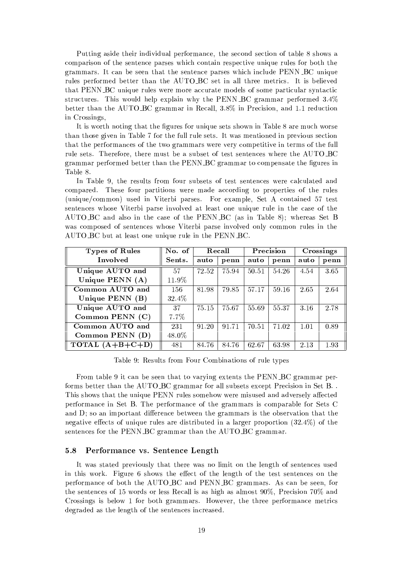— 1 B 384C76 39 39 39 39 39 39 39 39 39 30 31 32 3384 329 3384 3394 3395 3396 3397 3397 3397 3397 3397 3397 33  $\mathcal{L} = \mathcal{L} = \mathcal{L} = \mathcal{L} = \mathcal{L} = \mathcal{L} = \mathcal{L} = \mathcal{L} = \mathcal{L} = \mathcal{L} = \mathcal{L} = \mathcal{L} = \mathcal{L} = \mathcal{L} = \mathcal{L} = \mathcal{L} = \mathcal{L} = \mathcal{L} = \mathcal{L} = \mathcal{L} = \mathcal{L} = \mathcal{L} = \mathcal{L} = \mathcal{L} = \mathcal{L} = \mathcal{L} = \mathcal{L} = \mathcal{L} = \mathcal{L} = \mathcal{L} = \mathcal{L} = \mathcal$  $\mathcal{L} = \mathcal{L} = \mathcal{L} = \mathcal{L} = \mathcal{L} = \mathcal{L} = \mathcal{L} = \mathcal{L} = \mathcal{L} = \mathcal{L} = \mathcal{L} = \mathcal{L} = \mathcal{L} = \mathcal{L} = \mathcal{L} = \mathcal{L} = \mathcal{L} = \mathcal{L} = \mathcal{L} = \mathcal{L} = \mathcal{L} = \mathcal{L} = \mathcal{L} = \mathcal{L} = \mathcal{L} = \mathcal{L} = \mathcal{L} = \mathcal{L} = \mathcal{L} = \mathcal{L} = \mathcal{L} = \mathcal$  $\blacksquare$  . A set of the definition of the definition of the definition of the definition of the definition of the definition of the definition of the definition of the definition of the definition of the definition of the d  $\blacksquare$  . The distribution of the distribution of the distribution of the distribution of the distribution of the distribution of the distribution of the distribution of the distribution of the distribution of the distribu B <sup>B</sup> / !243 A@&B (9]2 ( <,( <sup>6358</sup> A2< <sup>2</sup> K0%& <sup>C</sup> <sup>6</sup>6 @ D9 /  $\cdots$  . The state of the state of the state of the state of the state of the state of the state of the state of the state of the state of the state of the state of the state of the state of the state of the state of the s in Crossings.

- <sup>3</sup> A@ <sup>2</sup> 84@ 3584C 26 <sup>2</sup> MC&B @ B843!B > 24@A8 38!-<sup>6</sup>#(+( <sup>6</sup> B2 A@ 26!8 24@ C!3+& <sup>8</sup> 38!-6#(+, @ <sup>2</sup> <sup>B</sup> (+( B (H /- A6FO <sup>8</sup> 3@48 9 <sup>358</sup> &&3@&B Q  3@&8 26Q <sup>2</sup> @ @ 6!8 @' <sup>2</sup> A@ <sup>C</sup> 66 QA & +@ <sup>3</sup> 3+& <sup>358</sup> O @' <sup>2</sup> <sup>B</sup> (+(  $\blacksquare$  . A set of the distribution of the distribution of the distribution of the distribution of the distribution of the distribution of the distribution of the distribution of the distribution of the distribution of the  $\blacksquare$  . The decrease of the contract of the contract of the contract of the contract of the contract of the contract of the contract of the contract of the contract of the contract of the contract of the contract of the !-<sup>6</sup>#(+ ( /

-<sup>8</sup> !-<sup>6</sup>#(+ 63> <sup>2</sup> <sup>B</sup> (+ @ @&B <sup>B</sup> # @' <sup>8</sup>8 A \*6( \*B ( <sup>6</sup>9 6!849  $\alpha$  , and a set of a set of a set of a set of a set of a set of a set of a set of a set of a set of a set of a set of a set of a set of a set of a set of a set of a set of a set of a set of a set of a set of a set of a s  $(unique/common)$  used in Viterbi parses. For example, Set A contained 57 test <sup>8</sup> 8 A24@ 3 #3 <sup>6</sup> 358)&@(&9 <sup>6</sup> (+ <sup>6</sup> @48 B843!B <sup>B</sup> ( <sup>3</sup> <sup>8</sup> <sup>2</sup> \*6 @' <sup>2</sup> >= !? 6!849 <sup>6</sup>(+@ <sup>358</sup> <sup>2</sup> \*6 @' <sup>2</sup> 0%&' 6 <sup>358</sup> !-<sup>6</sup>#(+g( A2 <sup>6</sup> <sup>1</sup> ` A6 +@ @9X@' <sup>8</sup> 8 A24@ 3 #3 <sup>6</sup> 358)&!@(&9X@&8 (+ +@@&8 <sup>B</sup> (+358 <sup>2</sup> >= !? # <sup>B</sup> <sup>6</sup>>(H <sup>6</sup> @&8 B843"!B <sup>B</sup> (H <sup>38</sup> <sup>2</sup> 0%& /

| <b>Types of Rules</b> | No. of | Recall |       | Precision |       | Crossings |      |
|-----------------------|--------|--------|-------|-----------|-------|-----------|------|
| Involved              | Sents. | auto   | penn  | auto      | penn  | auto      | penn |
| Unique AUTO and       | 57     | 72.52  | 75.94 | 50.51     | 54.26 | 4.54      | 3.65 |
| Unique PENN $(A)$     | 11.9%  |        |       |           |       |           |      |
| Common AUTO and       | 156    | 81.98  | 79.85 | 57.17     | 59.16 | 2.65      | 2.64 |
| Unique PENN (B)       | 32.4%  |        |       |           |       |           |      |
| Unique AUTO and       | 37     | 75.15  | 75.67 | 55.69     | 55.37 | 3.16      | 2.78 |
| Common PENN (C)       | 7.7%   |        |       |           |       |           |      |
| Common AUTO and       | 231    | 91.20  | 91.71 | 70.51     | 71.02 | 1.01      | 0.89 |
| Common PENN $(D)$     | 48.0%  |        |       |           |       |           |      |
| TOTAL $(A+B+C+D)$     | 481    | 84.76  | 84.76 | 62.67     | 63.98 | 2.13      | 1.93 |

!-<sup>6</sup>#(+ <sup>6</sup> &Q <sup>B</sup> (H @ '@4B @#386 3@&8 @' <sup>B</sup> (H
M

From table 9 it can be seen that to varying extents the PENN\_BC grammar per- $\alpha$  is the strip of  $\alpha$  in the set of  $\alpha$ This shows that the unique PENN rules somehow were misused and adversely affected  $\alpha$  is a set of  $\alpha$  is a finite of  $\alpha$  in  $\alpha$  is a finite of  $\alpha$ and D; so an important difference between the grammars is the observation that the <sup>8</sup>C46 3+&O  @ B843!B <sup>B</sup> (H <sup>6</sup> 93 <sup>3</sup> # <sup>B</sup> 9S358S6 ( <sup>6</sup>C 
@ @ 3@48 <sup>8</sup> / @' <sup>2</sup>  $\overline{\phantom{a}}$  . The contract of  $\overline{\phantom{a}}$  , and  $\overline{\phantom{a}}$  , and  $\overline{\phantom{a}}$  , and  $\overline{\phantom{a}}$  , and  $\overline{\phantom{a}}$  , and  $\overline{\phantom{a}}$  , and  $\overline{\phantom{a}}$  , and  $\overline{\phantom{a}}$  , and  $\overline{\phantom{a}}$  , and  $\overline{\phantom{a}}$  , and  $\overline{\phantom{a}}$ 

#### 5.8 Performance vs. Sentence Length

- A6 <sup>6</sup>9 &&3@&B (+ 26 <sup>2</sup> A6 84@ ( <sup>3</sup>3 @&8 <sup>2</sup> (+84C <sup>2</sup> @' <sup>8</sup> 8 <sup>B</sup> 9  $38.22 \pm 24.0$  and  $24.2 \pm 24.0$  and  $24.2 \pm 24.0$  and  $24.2 \pm 24.0$  $\alpha$  . At the state of the contract of the contract of the contract of the contract of the contract of the contract of the contract of the contract of the contract of the contract of the contract of the contract of the co <sup>2</sup> <sup>8</sup> 8 @ 4A@ 9 @ >(+,Q \*6(+( <sup>3</sup> <sup>6</sup> 243C&2 <sup>6</sup> <sup>6</sup>(@@6) 3L0 +3 3@48 ) 6J849 @ 3584C <sup>3</sup> # (@A/4 @ # @ <sup>2</sup> <sup>C</sup> <sup>6</sup>6 / ,@A& J3Q <sup>2</sup> K <sup>2</sup> @ 6!8 D 3+  $\mathbf{1}$  ,  $\mathbf{1}$  ,  $\mathbf{1}$  ,  $\mathbf{1}$  ,  $\mathbf{1}$  ,  $\mathbf{1}$  ,  $\mathbf{1}$  ,  $\mathbf{1}$  ,  $\mathbf{1}$  ,  $\mathbf{1}$  ,  $\mathbf{1}$  ,  $\mathbf{1}$  ,  $\mathbf{1}$  ,  $\mathbf{1}$  ,  $\mathbf{1}$  ,  $\mathbf{1}$  ,  $\mathbf{1}$  ,  $\mathbf{1}$  ,  $\mathbf{1}$  ,  $\mathbf{1}$  ,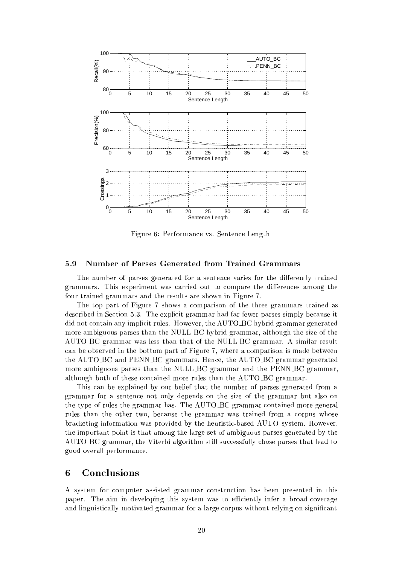

A3C4B 0L @ 6!8 & /1 <sup>8</sup> 8 # 84C <sup>2</sup>

### hL \_Wl S8idg =QtDi6Z\$S Z qS TVS8i6t8R6S U i6gjl i6tD[(TWS U-qi6tDl|ltDi6Z

!2 8&B# @' <sup>6</sup> <sup>C</sup> <sup>8</sup> <sup>6</sup>9 @ <sup>6</sup> <sup>8</sup> 8 &6 <sup>3</sup> @ <sup>2</sup> 93 <sup>8</sup>(+ <sup>6358</sup> 9 grammars. This experiment was carried out to compare the differences among the  $\alpha$  is a finite different function of  $\alpha$  . The contract of  $\alpha$ 

!2 @ <sup>6</sup> @' A3C&B `K 24@A <sup>6</sup> +@6 <sup>3</sup> @&8 @' <sup>2</sup> 2 <sup>C</sup> <sup>6</sup>6 <sup>6358</sup> 9 <sup>6</sup> <sup>9</sup> <sup>3</sup># 9 <sup>358</sup> <sup>1</sup>  3@&8 / />!2 ,( 3H+3 <sup>C</sup> <sup>6</sup>6 269 6 A <sup>6</sup>Q <sup>3</sup>(H # \*6JB <sup>3</sup> did not contain any implicit rules. However, the  $\rm{AUTO\_BC}$  hybrid grammar generated @ <sup>6</sup>#3C&B4@&B > <sup>6</sup>F 26!8 <sup>2</sup> +=s <sup>2</sup>M# <sup>39</sup> <sup>C</sup> <sup>6</sup>63 <sup>6</sup>(H 24@&B4C&2 <sup>2</sup> N 3+\* @' <sup>2</sup>  $\sim$  2008  $\sim$  26  $\sim$  260  $\sim$  26.000  $\sim$  26.000  $\sim$  26.000  $\sim$  26.000  $\sim$  27.000  $\sim$  27.000  $\sim$  27.000  $\sim$  27.000  $\sim$  27.000  $\sim$  27.000  $\sim$  27.000  $\sim$  27.000  $\sim$  27.000  $\sim$  27.000  $\sim$  27.000  $\sim$  27.000  $\$ 6J8 # @ # &9 <sup>358</sup> <sup>2</sup> # @ @ <sup>6</sup> @' 5A3C&B ,3A2 <sup>6</sup> +@ <sup>6</sup> <sup>3</sup> @&8 <sup>3</sup> >69 # A <sup>8</sup> <sup>2</sup> N>= !? 6!849 0&%' <sup>C</sup> <sup>6</sup>6 /-, 8 )3 <sup>2</sup> N=!? <sup>C</sup> <sup>6</sup>6 <sup>C</sup> <sup>8</sup> <sup>6</sup>9 more ambiguous parses than the NULL BC grammar and the PENN BC grammar, <sup>6</sup>(H 24@&B4C&2 # @ <sup>2</sup> @' <sup>2</sup> +@&8 <sup>6358</sup> 9 @ <sup>B</sup> (+> 26!8 <sup>2</sup> @>= !? <sup>C</sup> <sup>6</sup>6 /

!243 \*6!8 # ,(638 9 #) @&B # ( <sup>3</sup> 26 <sup>2</sup> 8&B# 7 @' <sup>6</sup> <sup>C</sup> <sup>8</sup> <sup>6</sup>9 @ <sup>6</sup>  $\alpha$  and a set of the set of the set of the set of the set of the set of the set of the set of the set of the set of the set of the set of the set of the set of the set of the set of the set of the set of the set of the s  $\alpha$  and  $\alpha$  and  $\alpha$  and  $\alpha$  and  $\alpha$  and  $\alpha$  $B$  (HT 26)8  $B$  and  $B$  and  $B$  and  $B$  and  $B$  and  $B$  and  $B$  and  $B$  and  $B$ #M 6;: 384C 358) @ 6 3@&8 A6 @'&439 9 #) <sup>2</sup> <sup>2</sup> <sup>B</sup> <sup>3</sup> 3H- # <sup>6</sup>9 =!>? /,@A& 3 <sup>2</sup> <sup>3</sup> @ 6!8 @!358 <sup>3</sup> Q 26 <sup>6</sup>@48&C <sup>2</sup> ( <sup>6</sup>C @' A6#3C&B4@4B F <sup>6</sup> <sup>C</sup> <sup>8</sup> <sup>6</sup>9 #) <sup>2</sup> >= !? <sup>C</sup> <sup>6</sup>63) <sup>2</sup> 3 #3;6(C!@ <sup>3</sup> <sup>2</sup> <sup>3</sup> (+( B <sup>B</sup> (+(+ +2 @@ <sup>6</sup>F 26F(+ <sup>69</sup> @ C!@4@49 @& <sup>6</sup>(+(5 @ 6!8 /

#### -**Conclusions**

 $\blacksquare$  . The set of the set of the set of the set of the set of the set of the set of the set of the set of the set of the set of the set of the set of the set of the set of the set of the set of the set of the set of the 6 / !2 <sup>63</sup> 358R9 &(@ 3584C <sup>243</sup> A6O @ +3 <sup>8</sup>(+ 358) <sup>6</sup> #@&69&-%+@'& 6C 6!849 ( 3584C&B43 3+\*6(+(+-@ 3+&69 <sup>C</sup> <sup>6</sup>6 @ <sup>6</sup> ( <sup>6</sup>C +@ <sup>B</sup> A3 24@&B F(+384C @48 3C48&3\*6!8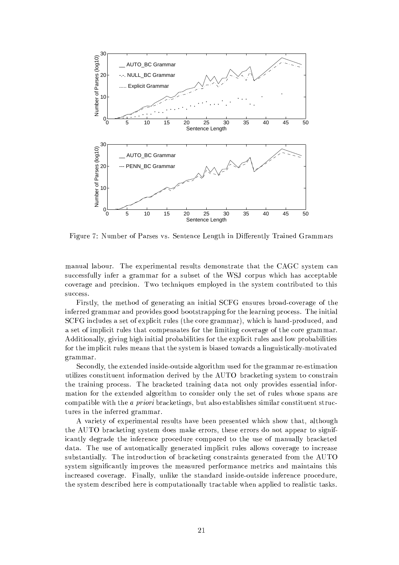

A3C&B # <sup>B</sup># @' 06 & / <sup>1</sup> <sup>8</sup> 8 # 84C <sup>2</sup> <sup>358</sup> 3 <sup>8</sup>(+ !6358 9 <sup>6</sup>6

manual labour. The experimental results demonstrate that the CAGC system can B <sup>B</sup> (H(+ 358) <sup>6</sup> <sup>C</sup> <sup>6</sup>6 @ <sup>6</sup> <sup>B</sup> # @' <sup>2</sup> P14< +@ B A243+2X26 <sup>6</sup> <sup>6</sup>#(+ coverage and precision. Two techniques employed in the system contributed to this

 $\mathcal{L}$  . The same definition of the same definition of the same definition of the same definition of the same definition of the same definition of the same definition of the same definition of the same definition of the 38) 9 <sup>C</sup> <sup>6</sup>6 6!849 @'&439 C!@4@ <sup>9</sup> # @4@ <sup>6</sup>3584CQ @ <sup>2</sup> (H <sup>6</sup> 843584C @ / !2 <sup>35843</sup> <sup>356</sup>(  $\sim$  1 and 35 and 358 and 358 and 358 and 359 and 359 and 359 and 359 and 359 and 359 and 359 and 359 and 359 and 359 and 359 and 359 and 359 and 359 and 359 and 359 and 359 and 359 and 359 and 359 and 359 and 359 and 359  $\alpha$  , and a set of the set of the set of the set of the set of the set of the set of the set of the set of the set of the set of the set of the set of the set of the set of the set of the set of the set of the set of the 993 3@&86(+(+)3 CJ3H&43584C 243C&2 <sup>35843</sup> <sup>356</sup>(M@ # <sup>6</sup>#3 (3 <sup>3</sup> @ L <sup>2</sup> ,M( <sup>3</sup> +3 <sup>B</sup> ( 6!849 ( @<sup>A</sup> @ # <sup>6</sup>#3 (3 <sup>3</sup> J @ 5 <sup>2</sup> <sup>3</sup>( 3++3 I <sup>B</sup> (+ID 6!8 L 26L <sup>2</sup> <sup>3</sup> I#3569 @A69 <sup>6</sup> ( 358&C4B43 3+\*6( (-@ 3H&69 grammar.

<sup>1</sup> +@&849 (+)3[ <sup>2</sup> , <sup>849</sup> 9 <sup>358</sup> 39 - @&B 39 <sup>6</sup>(CJ@ <sup>3</sup> <sup>2</sup> <sup>B</sup> 9 @ <sup>2</sup> <sup>C</sup> <sup>6</sup>6 - <sup>3</sup>6 3@&8 <sup>B</sup> <sup>3</sup> ( 3+\* +@&8 <sup>3</sup> <sup>B</sup> <sup>8</sup> 358) @ 6 3@48 <sup>9</sup> 3+&9 #) <sup>2</sup> @>= !? # 6;: 384C - G @+@&8 <sup>6358</sup> <sup>2</sup> 63584358&C @ / ! <sup>2</sup> # 6;:9 63843584Ca9'6 6a84@ @48 (H @'&439 <sup>8</sup> <sup>36</sup>(358) @ - 6 3@&8 @ N <sup>2</sup> D, <sup>849</sup> 9 <sup>6</sup>(C!@ <sup>3</sup> <sup>2</sup> @ +@&8 39 @&8 (+ <sup>2</sup> D @ <sup>B</sup> (+
A24@O 6!8 <sup>6</sup> compatible  $\frac{1}{2}$  that  $\frac{1}{2}$  a special productings that also establishes similar constituent strue  $\mathbf{S}$  358  $\mathbf{S}$  358  $\mathbf{S}$  358  $\mathbf{S}$  358  $\mathbf{S}$  358  $\mathbf{S}$  358  $\mathbf{S}$  358  $\mathbf{S}$  358  $\mathbf{S}$  358  $\mathbf{S}$  358  $\mathbf{S}$  358  $\mathbf{S}$  358  $\mathbf{S}$  358  $\mathbf{S}$  358  $\mathbf{S}$  358  $\mathbf{S}$  358  $\mathbf{S}$  358

 $\overline{6}$  ,  $\overline{6}$  ,  $\overline{6}$  ,  $\overline{6}$  and  $\overline{2}$  and  $\overline{2}$  and  $\overline{2}$  and  $\overline{2}$  and  $\overline{2}$  and  $\overline{2}$  and  $\overline{2}$  and  $\overline{2}$  and  $\overline{2}$  and  $\overline{2}$  and  $\overline{2}$  and  $\overline{2}$  and  $\overline{2}$  and  $\overline{2$  $\mathcal{A}$  . If  $\mathcal{A}$  and  $\mathcal{A}$  is a substitution of the state of the state of the state of the state of the state of the state of the state of the state of the state of the state of the state of the state of the stat 3H\*6!8(H <sup>9</sup> C <sup>69</sup> <sup>2</sup> 358) 8 @M 9'B +@ <sup>6</sup>9 @ <sup>2</sup> <sup>B</sup> @' 6!8&B6(H(+ # 6;:9  $\blacksquare$  . A set of the distribution of the distribution of the distribution of the distribution of the set of the set of the distribution of the distribution of the set of the set of the set of the set of the set of the se  $\blacksquare$  . The set of the set of the set of the set of the set of the set of the set of the set of the set of the set of the set of the set of the set of the set of the set of the set of the set of the set of the set of the . The set of the set of the set of the set of the set of the set of the set of the set of the set of the set of the set of the set of the set of the set of the set of the set of the set of the set of the set of the set of  $\mathbf{A}$  and  $\mathbf{B}$  as a substitute of the state of the state of the state of the state of the state of the state of the state of the state of the state of the state of the state of the state of the state of the state o  $2.9 \pm 0.9$  , and  $2.9 \pm 0.9$  and  $2.9 \pm 0.9$  for  $4.9 \pm 0.9$  for  $4.9 \pm 0.9$  for  $4.9 \pm 0.9$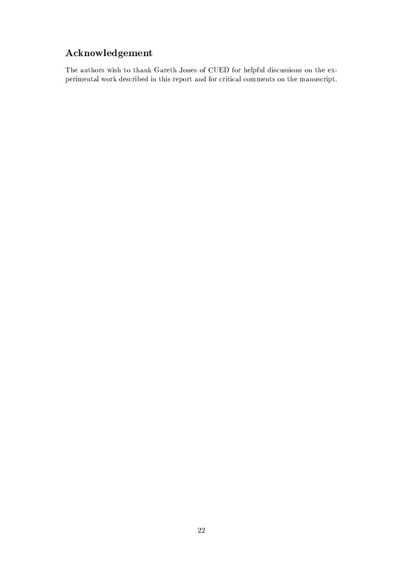# Acknowledgement

!2 6!B 24@ A3 <sup>2</sup> @ 26!8: 6 27<!@48 @' F = @ <sup>2</sup> ( <sup>B</sup> ( 93 \*B 3@&8 @&8 <sup>2</sup> ,-  $\blacksquare$  . The set of the set of the set of the set of the set of the set of the set of the set of the set of the set of the set of the set of the set of the set of the set of the set of the set of the set of the set of the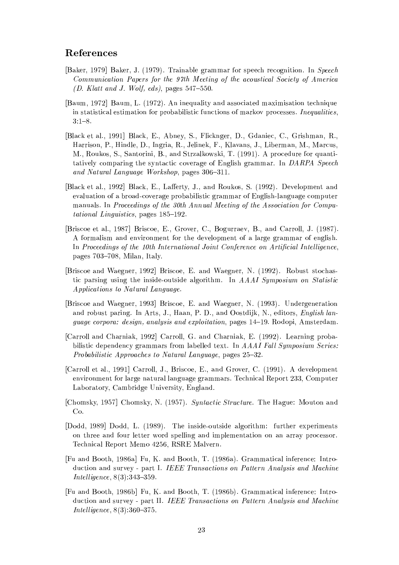## References

- .6E: 3 4 6)E6 9 6): 3 <'/I 476))6 +/ ! 63586#(+ <sup>C</sup> <sup>6</sup>6 @ )2 +@!C&843 3@&8;/-<sup>8</sup> \*]EE  $\overline{D}$   $U_{a}H$  and  $\overline{I}$   $W_{a}I_{b}$  and  $\overline{S}$  pages  $547$   $550$  $\Gamma$  computed that  $D$  and  $D$  for the 0.7th Meeting of the geometrical  $C$  correction of American
- [Baum, 1972] Baum, L. (1972). An inequality and associated maximisation technique  $\mathbf{I}_n$  statistical settemption for realight the functions of modern recognizer. In equalities 4-( /
- $\mathbf{f} = \mathbf{f} \qquad \mathbf{f} = \mathbf{f} \qquad \mathbf{f} = \mathbf{f} \qquad \mathbf{f} = \mathbf{f} \qquad \mathbf{f} = \mathbf{f} \qquad \mathbf{f} = \mathbf{f} \qquad \mathbf{f} = \mathbf{f} \qquad \mathbf{f} = \mathbf{f} \qquad \mathbf{f} = \mathbf{f} \qquad \mathbf{f} = \mathbf{f} \qquad \mathbf{f} = \mathbf{f} \qquad \mathbf{f} = \mathbf{f} \qquad \mathbf{f} = \mathbf{f} \qquad \mathbf{f} = \mathbf{f$ , and the state of the state of the state of the state of the state of the state of the state of the state of the state of the state of the state of the state of the state of the state of the state of the state of the sta / 3N@&B:@ 3 1;/ <sup>3</sup> 16!8 @ <sup>3843</sup> 3N / <sup>3</sup> 6!849 <sup>1</sup> \*\*6( :@A> :!3 <sup>3</sup> ! / 4 6E64 +/ @ 9'B @ !B6!8 3-  $\mathbf{A}$  and  $\mathbf{B}$  are the state of  $\mathbf{B}$  and  $\mathbf{B}$  are the state of  $\mathbf{B}$  and  $\mathbf{B}$  $\alpha$   $\alpha$ ,  $\alpha$ ,  $\alpha$ ,  $\alpha$ ,  $\alpha$ ,  $\alpha$ ,  $\alpha$ ,  $\alpha$ ,  $\alpha$ ,  $\alpha$ ,  $\alpha$ ,  $\alpha$ ,  $\alpha$ ,  $\alpha$ ,  $\alpha$ ,  $\alpha$ ,  $\alpha$ ,  $\alpha$ ,  $\alpha$ ,  $\alpha$ ,  $\alpha$ ,  $\alpha$ ,  $\alpha$ ,  $\alpha$ ,  $\alpha$ ,  $\alpha$ ,  $\alpha$ ,  $\alpha$ ,  $\alpha$ ,  $\alpha$ ,  $\alpha$ ,  $\alpha$ ,  $\alpha$ ,  $\alpha$ ,  $\alpha$ ,  $\alpha$ ,
- .( 6;: <sup>6</sup>( / 34 6)6)8 9 ( 6;: 3 / <sup>3</sup> <sup>6</sup> )3 <'/ <sup>3</sup> 6!849 @&B:@ 3 1;/ 4 6)6)8 +/ @&(@ D <sup>8</sup> 6!849  $\mathbf{A}$  and  $\mathbf{A}$  and  $\mathbf{A}$  and  $\mathbf{A}$  and  $\mathbf{A}$  and  $\mathbf{A}$  and  $\mathbf{A}$  $\mathbf{F}_{\text{S}}$  of the  $\mathbf{F}_{\text{S}}$  and  $\mathbf{F}_{\text{S}}$  and  $\mathbf{F}_{\text{S}}$  and  $\mathbf{F}_{\text{S}}$  are  $\mathbf{F}_{\text{S}}$  and  $\mathbf{F}_{\text{S}}$  and  $\mathbf{F}_{\text{S}}$  and  $\mathbf{F}_{\text{S}}$  and  $\mathbf{F}_{\text{S}}$  and  $\mathbf{F}_{\text{S}}$  and  $\mathbf{F}_{\text{S}}$  and  $\$  $\frac{1}{2}$   $\frac{1}{2}$   $\frac{1}{2}$   $\frac{1}{2}$   $\frac{1}{2}$   $\frac{1}{2}$   $\frac{1}{2}$   $\frac{1}{2}$   $\frac{1}{2}$   $\frac{1}{2}$   $\frac{1}{2}$   $\frac{1}{2}$   $\frac{1}{2}$   $\frac{1}{2}$   $\frac{1}{2}$   $\frac{1}{2}$   $\frac{1}{2}$   $\frac{1}{2}$   $\frac{1}{2}$   $\frac{1}{2}$   $\frac{1}{2}$   $\frac{1}{2}$
- $\mathcal{S} = \mathcal{S} = \mathcal{S} = \mathcal{S} = \mathcal{S} = \mathcal{S} = \mathcal{S} = \mathcal{S} = \mathcal{S} = \mathcal{S} = \mathcal{S} = \mathcal{S} = \mathcal{S} = \mathcal{S} = \mathcal{S} = \mathcal{S} = \mathcal{S} = \mathcal{S} = \mathcal{S} = \mathcal{S} = \mathcal{S} = \mathcal{S} = \mathcal{S} = \mathcal{S} = \mathcal{S} = \mathcal{S} = \mathcal{S} = \mathcal{S} = \mathcal{S} = \mathcal{S} = \mathcal{S} = \mathcal$  @ 6( <sup>3</sup> 6!849 8)&43 @48D <sup>8</sup> @ N2 <sup>9</sup> &(@ D <sup>8</sup> @' <sup>6</sup> ( <sup>6</sup>C <sup>C</sup> <sup>6</sup>6 @' 8&C( <sup>3</sup> 2;/ In Proceedings of the 10th International Joint Conference on Artificial Intelligence. 6C) ) (33 ( 6!8 <sup>3</sup> - <sup>6</sup>(+/
- . 3 + 0.0 26.849 P6C48 P6C48 P6C48 P6C48 P6C48 P6C48 P6C48 P6C48 P6C48 P6C48 P6C 2649 P6C 2649 P6C 2649 P6C 26  $\frac{1}{2}$  is a perips using the inside outside elgenthm. In AAAI Cumperium on Claticlic  $A$  representing to  $N$  at unal Language
- . 3 + 0.0 2 + 0.0 2 + 0.0 2 + 0.0 2 + 0.0 2 + 0.0 2 + 0.0 2 + 0.0 2 + 0.0 2 + 0.0 2 + 0.0 2 + 0.0 2 + 0.0 2 + 0 and polyet paring. In Arte, I. Heap D. D., and  $O$  atdiily M. aditang. English less  $\alpha$
- [Carroll and Charniak, 1992] Carroll, G. and Charniak, E. (1992). Learning proba- $\mathbb{R}^{11}$  dependence growing is from labelled text. In AAAI  $\mathbb{R}^{11}$  Cumperium Center.  $\frac{1}{2}$   $\frac{1}{2}$
- [Carroll et al., 1991] Carroll, J., Briscoe, E., and Grover, C.  $(1991)$ . A development 8)&&3 @&8D <sup>8</sup> @ I( <sup>6</sup>C 86 <sup>B</sup> <sup>6</sup>(M( 6!84C&B6C <sup>C</sup> <sup>6</sup>6 /Z! 2843+\*6(NQ @ <sup>8</sup> ) 3@ <sup>B</sup> J <sup>6</sup># @ <sup>6</sup> @ E36D# 39C <sup>=</sup> 843H& <sup>3</sup> E3A84C( 6!849 /
- $[Chomolur, 1057]$   $Chomolur, N$   $(1057)$   $Cumtastol$   $Ctautum$ , The Heguer Monton and  $Co.$
- .@499 <sup>3</sup> 4 6)()6 9#@499 3 / 4 6)()6 / !2 <sup>358</sup> 39 @&B 39 <sup>6</sup>(C!@ <sup>3</sup> <sup>2</sup> <sup>B</sup> <sup>2</sup> , <sup>3</sup>D <sup>8</sup> @&8 <sup>2</sup> 6!849 @&B @(+ @A@ 9 (+( 384Ca6!849W3(+ D <sup>8</sup> <sup>6</sup> 3@&8a@&8W6!8W6 <sup>6</sup> @M @ / ! 2843H\*6(sQ @ e @ <sup>8</sup> 3A1\$ 6(& 8;/
- .;B 6!849 @4@ <sup>2</sup> 354 6 ( !6<sup>9</sup> ;B <sup>3</sup> /;6!849 @4@ <sup>2</sup> <sup>3</sup> ! /I 4 6( !6)+/ <sup>6</sup>6 3+\*6( 358[ 8 -<sup>8</sup>@ duction and success sport  $I$  -  $I \to I \to I \to I'$  Transactions on  $D$  attorn Anglusia and Masline  $\mathcal{T} \rightarrow H^*$  (a) and are
- .;B 6!849 @4@ <sup>2</sup> 354 6 ( #)9 ;B <sup>3</sup> /6!849 @4@ <sup>2</sup> <sup>3</sup> ! /2 476)( # +/ <sup>6</sup>6 3+\*6( 358) 8 -<sup>8</sup>@ duction and queroy sport  $\Pi$ . IEEE Transactions on  $D$  attens Anglusia and Machine  $J \rightarrow H^*$  o(a) aco a $\pi$ r com